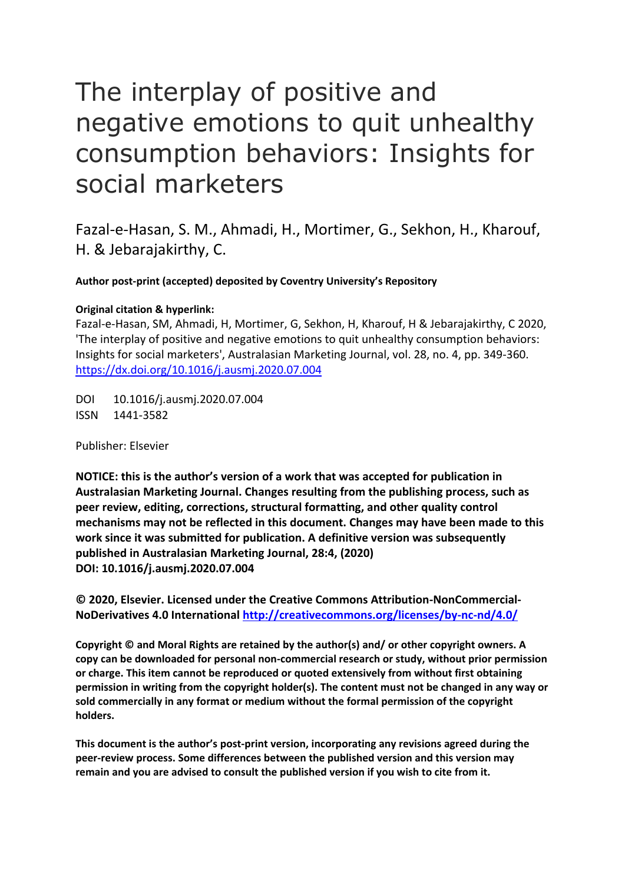# The interplay of positive and negative emotions to quit unhealthy consumption behaviors: Insights for social marketers

Fazal-e-Hasan, S. M., Ahmadi, H., Mortimer, G., Sekhon, H., Kharouf, H. & Jebarajakirthy, C.

**Author post-print (accepted) deposited by Coventry University's Repository**

### **Original citation & hyperlink:**

Fazal-e-Hasan, SM, Ahmadi, H, Mortimer, G, Sekhon, H, Kharouf, H & Jebarajakirthy, C 2020, 'The interplay of positive and negative emotions to quit unhealthy consumption behaviors: Insights for social marketers', Australasian Marketing Journal, vol. 28, no. 4, pp. 349-360. <https://dx.doi.org/10.1016/j.ausmj.2020.07.004>

DOI 10.1016/j.ausmj.2020.07.004 ISSN 1441-3582

Publisher: Elsevier

**NOTICE: this is the author's version of a work that was accepted for publication in Australasian Marketing Journal. Changes resulting from the publishing process, such as peer review, editing, corrections, structural formatting, and other quality control mechanisms may not be reflected in this document. Changes may have been made to this work since it was submitted for publication. A definitive version was subsequently published in Australasian Marketing Journal, 28:4, (2020) DOI: 10.1016/j.ausmj.2020.07.004**

**© 2020, Elsevier. Licensed under the Creative Commons Attribution-NonCommercial-NoDerivatives 4.0 International<http://creativecommons.org/licenses/by-nc-nd/4.0/>**

**Copyright © and Moral Rights are retained by the author(s) and/ or other copyright owners. A copy can be downloaded for personal non-commercial research or study, without prior permission or charge. This item cannot be reproduced or quoted extensively from without first obtaining permission in writing from the copyright holder(s). The content must not be changed in any way or sold commercially in any format or medium without the formal permission of the copyright holders.** 

**This document is the author's post-print version, incorporating any revisions agreed during the peer-review process. Some differences between the published version and this version may remain and you are advised to consult the published version if you wish to cite from it.**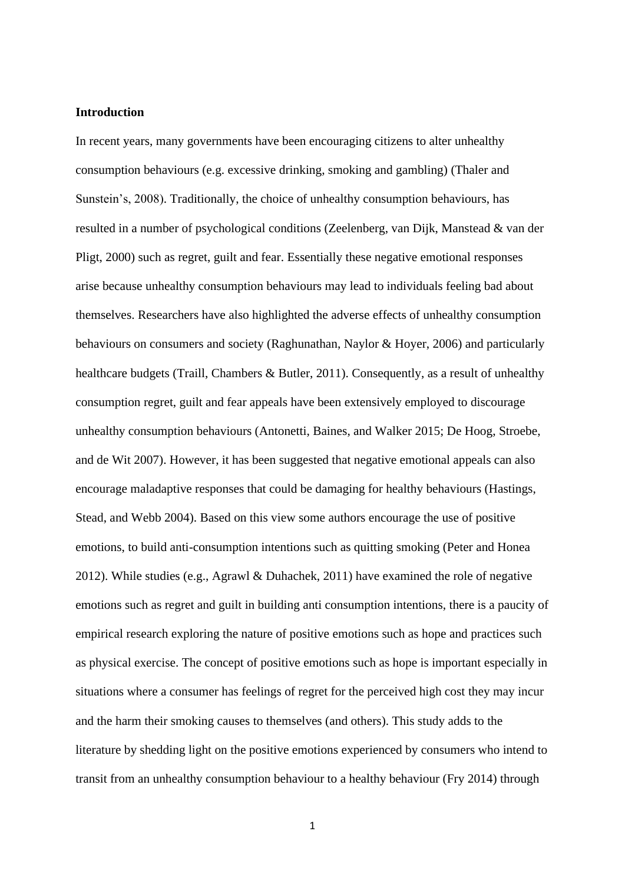#### **Introduction**

In recent years, many governments have been encouraging citizens to alter unhealthy consumption behaviours (e.g. excessive drinking, smoking and gambling) (Thaler and Sunstein's, 2008). Traditionally, the choice of unhealthy consumption behaviours, has resulted in a number of psychological conditions (Zeelenberg, van Dijk, Manstead & van der Pligt, 2000) such as regret, guilt and fear. Essentially these negative emotional responses arise because unhealthy consumption behaviours may lead to individuals feeling bad about themselves. Researchers have also highlighted the adverse effects of unhealthy consumption behaviours on consumers and society (Raghunathan, Naylor & Hoyer, 2006) and particularly healthcare budgets (Traill, Chambers & Butler, 2011). Consequently, as a result of unhealthy consumption regret, guilt and fear appeals have been extensively employed to discourage unhealthy consumption behaviours (Antonetti, Baines, and Walker 2015; De Hoog, Stroebe, and de Wit 2007). However, it has been suggested that negative emotional appeals can also encourage maladaptive responses that could be damaging for healthy behaviours (Hastings, Stead, and Webb 2004). Based on this view some authors encourage the use of positive emotions, to build anti-consumption intentions such as quitting smoking (Peter and Honea 2012). While studies (e.g., Agrawl & Duhachek, 2011) have examined the role of negative emotions such as regret and guilt in building anti consumption intentions, there is a paucity of empirical research exploring the nature of positive emotions such as hope and practices such as physical exercise. The concept of positive emotions such as hope is important especially in situations where a consumer has feelings of regret for the perceived high cost they may incur and the harm their smoking causes to themselves (and others). This study adds to the literature by shedding light on the positive emotions experienced by consumers who intend to transit from an unhealthy consumption behaviour to a healthy behaviour (Fry 2014) through

1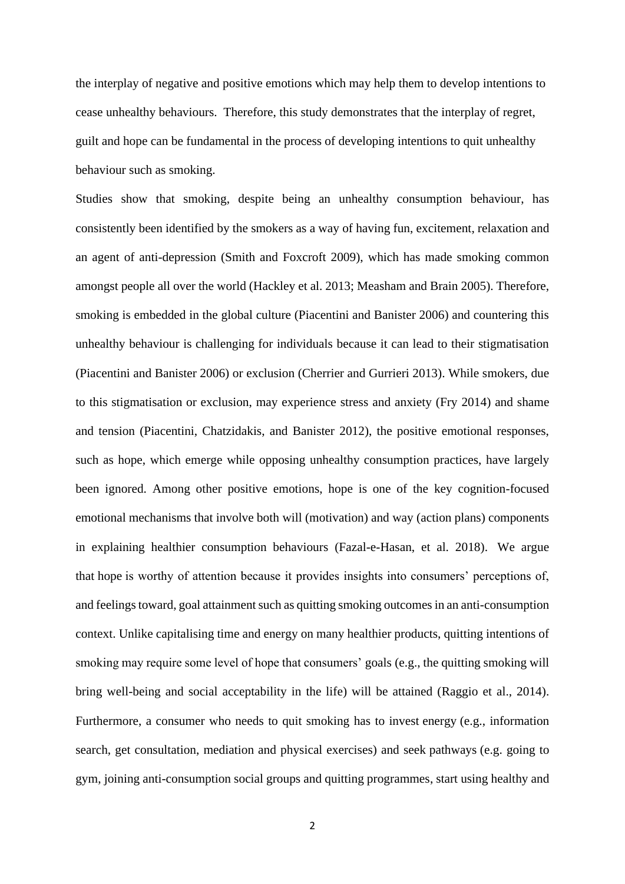the interplay of negative and positive emotions which may help them to develop intentions to cease unhealthy behaviours. Therefore, this study demonstrates that the interplay of regret, guilt and hope can be fundamental in the process of developing intentions to quit unhealthy behaviour such as smoking.

Studies show that smoking, despite being an unhealthy consumption behaviour, has consistently been identified by the smokers as a way of having fun, excitement, relaxation and an agent of anti-depression (Smith and Foxcroft 2009), which has made smoking common amongst people all over the world (Hackley et al. 2013; Measham and Brain 2005). Therefore, smoking is embedded in the global culture (Piacentini and Banister 2006) and countering this unhealthy behaviour is challenging for individuals because it can lead to their stigmatisation (Piacentini and Banister 2006) or exclusion (Cherrier and Gurrieri 2013). While smokers, due to this stigmatisation or exclusion, may experience stress and anxiety (Fry 2014) and shame and tension (Piacentini, Chatzidakis, and Banister 2012), the positive emotional responses, such as hope, which emerge while opposing unhealthy consumption practices, have largely been ignored. Among other positive emotions, hope is one of the key cognition-focused emotional mechanisms that involve both will (motivation) and way (action plans) components in explaining healthier consumption behaviours (Fazal-e-Hasan, et al. 2018). We argue that hope is worthy of attention because it provides insights into consumers' perceptions of, and feelings toward, goal attainment such as quitting smoking outcomes in an anti-consumption context. Unlike capitalising time and energy on many healthier products, quitting intentions of smoking may require some level of hope that consumers' goals (e.g., the quitting smoking will bring well-being and social acceptability in the life) will be attained [\(Raggio et al., 2014\)](https://www.sciencedirect.com/science/article/pii/S0969698917306239#bib75). Furthermore, a consumer who needs to quit smoking has to invest energy (e.g., information search, get consultation, mediation and physical exercises) and seek pathways (e.g. going to gym, joining anti-consumption social groups and quitting programmes, start using healthy and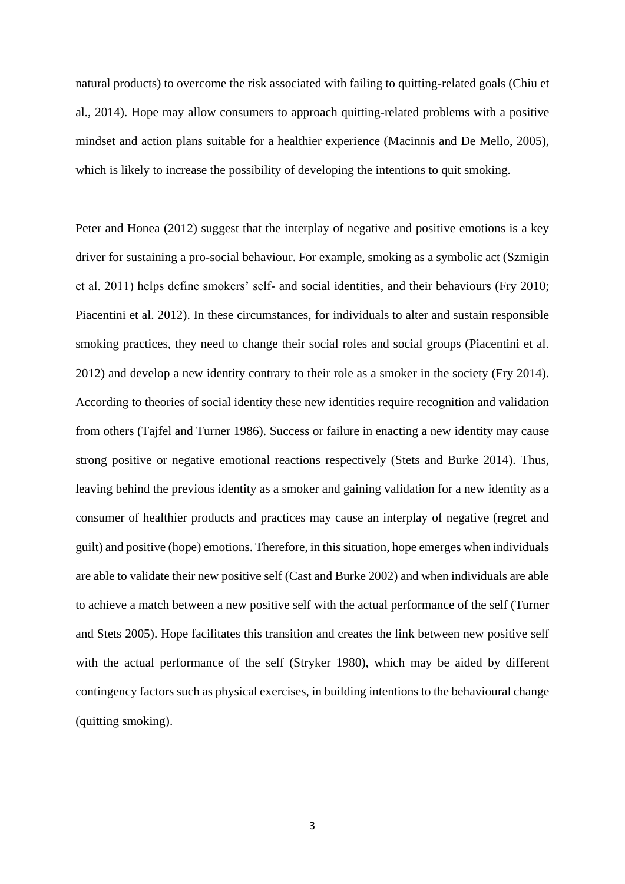natural products) to overcome the risk associated with failing to quitting-related goals [\(Chiu et](https://www.sciencedirect.com/science/article/pii/S0969698917306239#bib9)  [al., 2014\)](https://www.sciencedirect.com/science/article/pii/S0969698917306239#bib9). Hope may allow consumers to approach quitting-related problems with a positive mindset and action plans suitable for a healthier experience [\(Macinnis and De Mello, 2005\)](https://www.sciencedirect.com/science/article/pii/S0969698917306239#bib54), which is likely to increase the possibility of developing the intentions to quit smoking.

Peter and Honea (2012) suggest that the interplay of negative and positive emotions is a key driver for sustaining a pro-social behaviour. For example, smoking as a symbolic act (Szmigin et al. 2011) helps define smokers' self- and social identities, and their behaviours (Fry 2010; Piacentini et al. 2012). In these circumstances, for individuals to alter and sustain responsible smoking practices, they need to change their social roles and social groups (Piacentini et al. 2012) and develop a new identity contrary to their role as a smoker in the society (Fry 2014). According to theories of social identity these new identities require recognition and validation from others (Tajfel and Turner 1986). Success or failure in enacting a new identity may cause strong positive or negative emotional reactions respectively (Stets and Burke 2014). Thus, leaving behind the previous identity as a smoker and gaining validation for a new identity as a consumer of healthier products and practices may cause an interplay of negative (regret and guilt) and positive (hope) emotions. Therefore, in this situation, hope emerges when individuals are able to validate their new positive self (Cast and Burke 2002) and when individuals are able to achieve a match between a new positive self with the actual performance of the self (Turner and Stets 2005). Hope facilitates this transition and creates the link between new positive self with the actual performance of the self (Stryker 1980), which may be aided by different contingency factors such as physical exercises, in building intentions to the behavioural change (quitting smoking).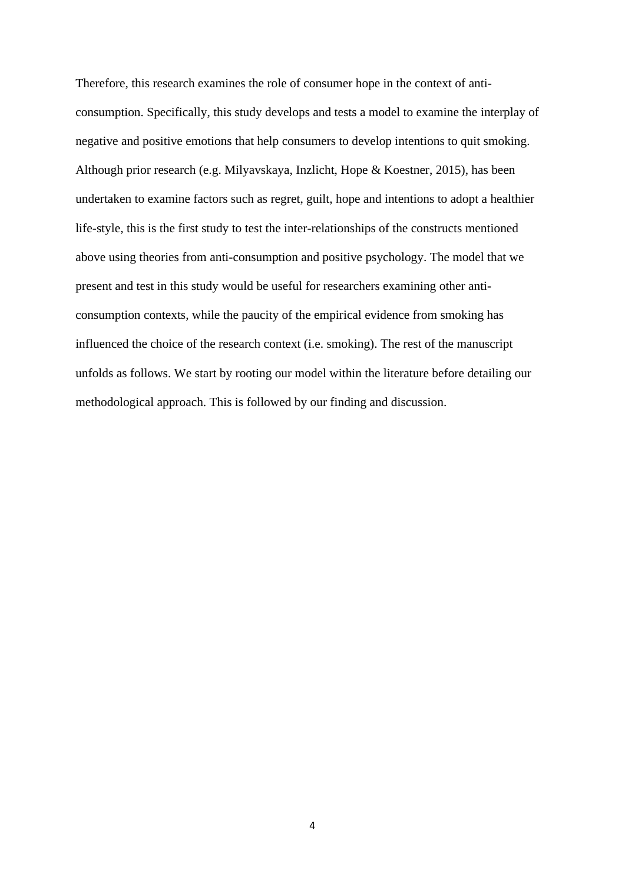Therefore, this research examines the role of consumer hope in the context of anticonsumption. Specifically, this study develops and tests a model to examine the interplay of negative and positive emotions that help consumers to develop intentions to quit smoking. Although prior research (e.g. Milyavskaya, Inzlicht, Hope & Koestner, 2015), has been undertaken to examine factors such as regret, guilt, hope and intentions to adopt a healthier life-style, this is the first study to test the inter-relationships of the constructs mentioned above using theories from anti-consumption and positive psychology. The model that we present and test in this study would be useful for researchers examining other anticonsumption contexts, while the paucity of the empirical evidence from smoking has influenced the choice of the research context (i.e. smoking). The rest of the manuscript unfolds as follows. We start by rooting our model within the literature before detailing our methodological approach. This is followed by our finding and discussion.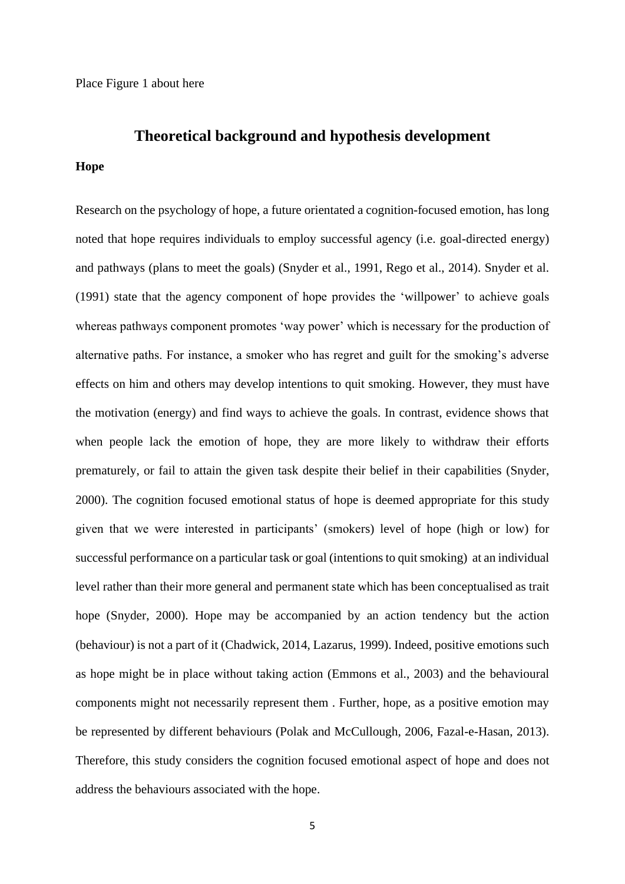# **Theoretical background and hypothesis development**

#### **Hope**

Research on the psychology of hope, a future orientated a cognition-focused emotion, has long noted that hope requires individuals to employ successful agency (i.e. goal-directed energy) and pathways (plans to meet the goals) (Snyder et al., 1991, Rego et al., 2014). Snyder et al. (1991) state that the agency component of hope provides the 'willpower' to achieve goals whereas pathways component promotes 'way power' which is necessary for the production of alternative paths. For instance, a smoker who has regret and guilt for the smoking's adverse effects on him and others may develop intentions to quit smoking. However, they must have the motivation (energy) and find ways to achieve the goals. In contrast, evidence shows that when people lack the emotion of hope, they are more likely to withdraw their efforts prematurely, or fail to attain the given task despite their belief in their capabilities (Snyder, 2000). The cognition focused emotional status of hope is deemed appropriate for this study given that we were interested in participants' (smokers) level of hope (high or low) for successful performance on a particular task or goal (intentions to quit smoking) at an individual level rather than their more general and permanent state which has been conceptualised as trait hope (Snyder, 2000). Hope may be accompanied by an action tendency but the action (behaviour) is not a part of it (Chadwick, 2014, Lazarus, 1999). Indeed, positive emotions such as hope might be in place without taking action (Emmons et al., 2003) and the behavioural components might not necessarily represent them . Further, hope, as a positive emotion may be represented by different behaviours (Polak and McCullough, 2006, Fazal-e-Hasan, 2013). Therefore, this study considers the cognition focused emotional aspect of hope and does not address the behaviours associated with the hope.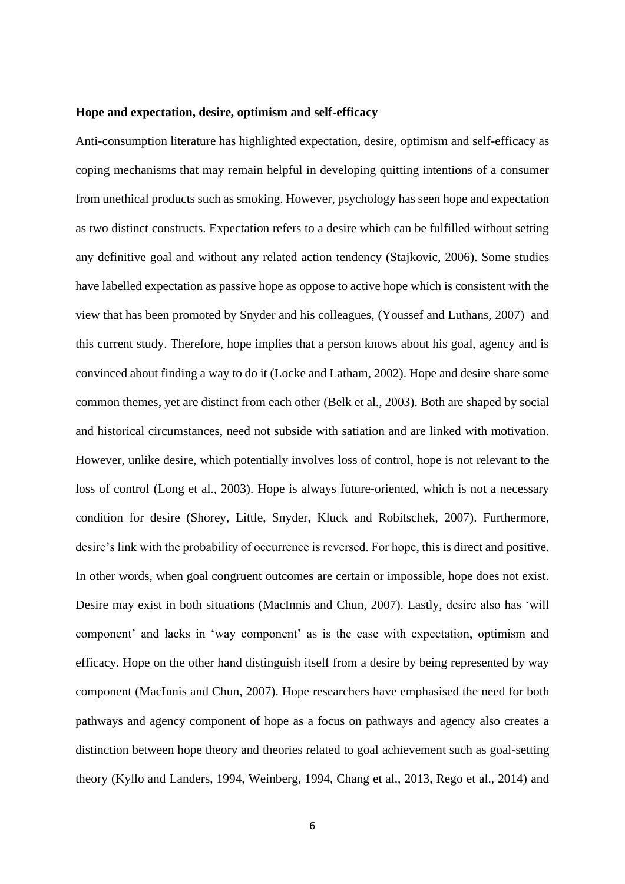#### **Hope and expectation, desire, optimism and self-efficacy**

Anti-consumption literature has highlighted expectation, desire, optimism and self-efficacy as coping mechanisms that may remain helpful in developing quitting intentions of a consumer from unethical products such as smoking. However, psychology has seen hope and expectation as two distinct constructs. Expectation refers to a desire which can be fulfilled without setting any definitive goal and without any related action tendency (Stajkovic, 2006). Some studies have labelled expectation as passive hope as oppose to active hope which is consistent with the view that has been promoted by Snyder and his colleagues, (Youssef and Luthans, 2007) and this current study. Therefore, hope implies that a person knows about his goal, agency and is convinced about finding a way to do it (Locke and Latham, 2002). Hope and desire share some common themes, yet are distinct from each other (Belk et al., 2003). Both are shaped by social and historical circumstances, need not subside with satiation and are linked with motivation. However, unlike desire, which potentially involves loss of control, hope is not relevant to the loss of control (Long et al., 2003). Hope is always future-oriented, which is not a necessary condition for desire (Shorey, Little, Snyder, Kluck and Robitschek, 2007). Furthermore, desire's link with the probability of occurrence is reversed. For hope, this is direct and positive. In other words, when goal congruent outcomes are certain or impossible, hope does not exist. Desire may exist in both situations (MacInnis and Chun, 2007). Lastly, desire also has 'will component' and lacks in 'way component' as is the case with expectation, optimism and efficacy. Hope on the other hand distinguish itself from a desire by being represented by way component (MacInnis and Chun, 2007). Hope researchers have emphasised the need for both pathways and agency component of hope as a focus on pathways and agency also creates a distinction between hope theory and theories related to goal achievement such as goal-setting theory (Kyllo and Landers, 1994, Weinberg, 1994, Chang et al., 2013, Rego et al., 2014) and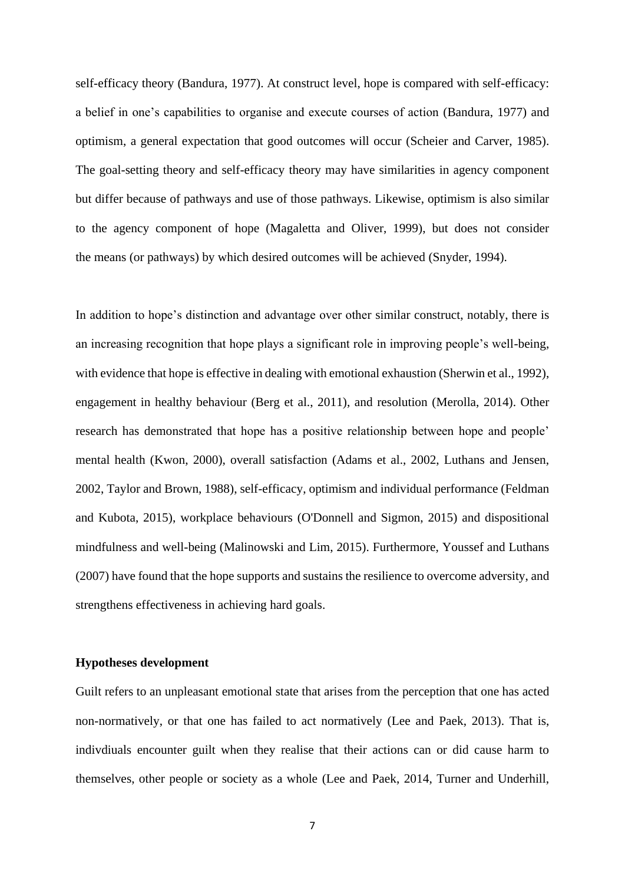self-efficacy theory (Bandura, 1977). At construct level, hope is compared with self-efficacy: a belief in one's capabilities to organise and execute courses of action (Bandura, 1977) and optimism, a general expectation that good outcomes will occur (Scheier and Carver, 1985). The goal-setting theory and self-efficacy theory may have similarities in agency component but differ because of pathways and use of those pathways. Likewise, optimism is also similar to the agency component of hope (Magaletta and Oliver, 1999), but does not consider the means (or pathways) by which desired outcomes will be achieved (Snyder, 1994).

In addition to hope's distinction and advantage over other similar construct, notably, there is an increasing recognition that hope plays a significant role in improving people's well-being, with evidence that hope is effective in dealing with emotional exhaustion (Sherwin et al., 1992), engagement in healthy behaviour (Berg et al., 2011), and resolution (Merolla, 2014). Other research has demonstrated that hope has a positive relationship between hope and people' mental health (Kwon, 2000), overall satisfaction (Adams et al., 2002, Luthans and Jensen, 2002, Taylor and Brown, 1988), self-efficacy, optimism and individual performance (Feldman and Kubota, 2015), workplace behaviours (O'Donnell and Sigmon, 2015) and dispositional mindfulness and well-being (Malinowski and Lim, 2015). Furthermore, Youssef and Luthans (2007) have found that the hope supports and sustains the resilience to overcome adversity, and strengthens effectiveness in achieving hard goals.

#### **Hypotheses development**

Guilt refers to an unpleasant emotional state that arises from the perception that one has acted non-normatively, or that one has failed to act normatively (Lee and Paek, 2013). That is, indivdiuals encounter guilt when they realise that their actions can or did cause harm to themselves, other people or society as a whole (Lee and Paek, 2014, Turner and Underhill,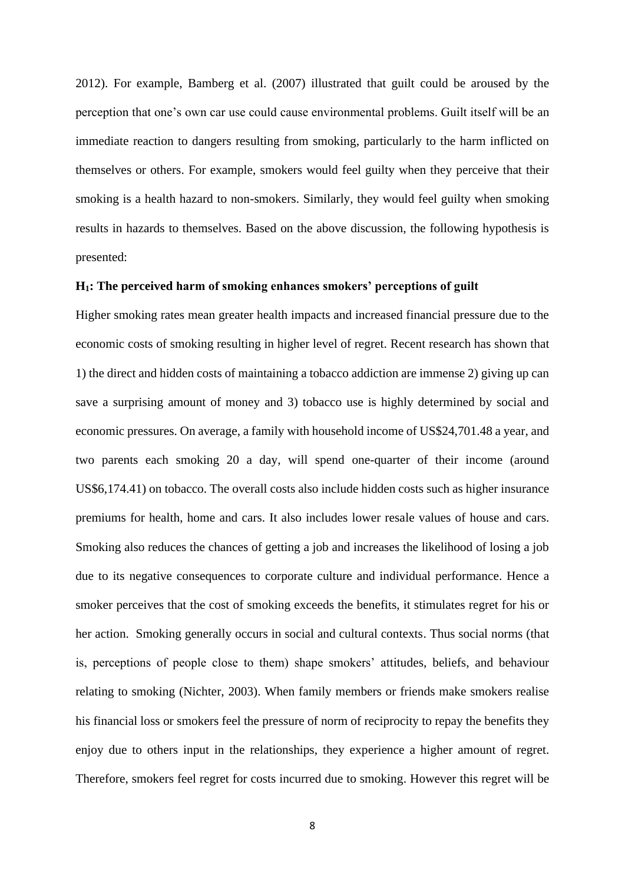2012). For example, Bamberg et al. (2007) illustrated that guilt could be aroused by the perception that one's own car use could cause environmental problems. Guilt itself will be an immediate reaction to dangers resulting from smoking, particularly to the harm inflicted on themselves or others. For example, smokers would feel guilty when they perceive that their smoking is a health hazard to non-smokers. Similarly, they would feel guilty when smoking results in hazards to themselves. Based on the above discussion, the following hypothesis is presented:

#### **H1: The perceived harm of smoking enhances smokers' perceptions of guilt**

Higher smoking rates mean greater health impacts and increased financial pressure due to the economic costs of smoking resulting in higher level of regret. Recent research has shown that 1) the direct and hidden costs of maintaining a tobacco addiction are immense 2) giving up can save a surprising amount of money and 3) tobacco use is highly determined by social and economic pressures. On average, a family with household income of US\$24,701.48 a year, and two parents each smoking 20 a day, will spend one-quarter of their income (around US\$6,174.41) on tobacco. The overall costs also include hidden costs such as higher insurance premiums for health, home and cars. It also includes lower resale values of house and cars. Smoking also reduces the chances of getting a job and increases the likelihood of losing a job due to its negative consequences to corporate culture and individual performance. Hence a smoker perceives that the cost of smoking exceeds the benefits, it stimulates regret for his or her action. Smoking generally occurs in social and cultural contexts. Thus social norms (that is, perceptions of people close to them) shape smokers' attitudes, beliefs, and behaviour relating to smoking (Nichter, 2003). When family members or friends make smokers realise his financial loss or smokers feel the pressure of norm of reciprocity to repay the benefits they enjoy due to others input in the relationships, they experience a higher amount of regret. Therefore, smokers feel regret for costs incurred due to smoking. However this regret will be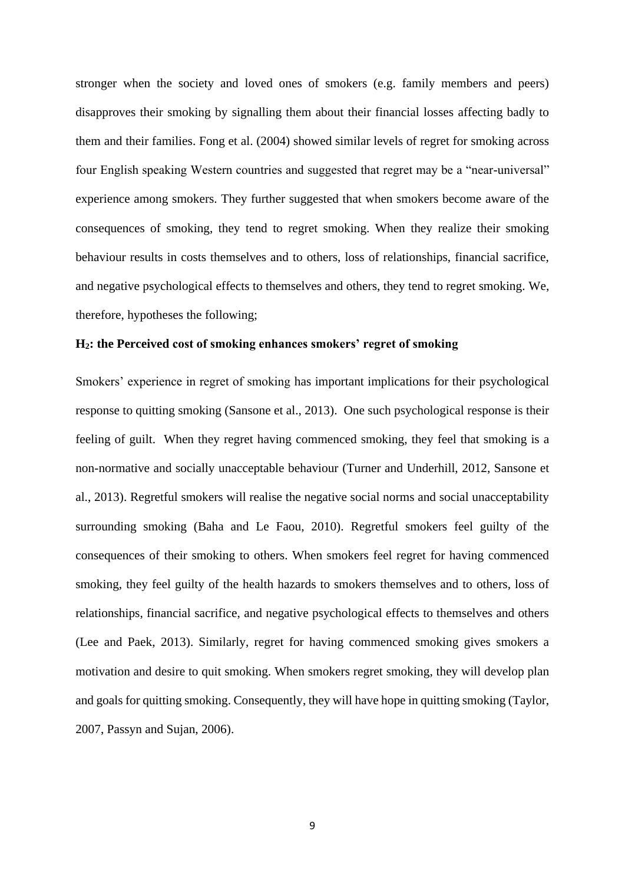stronger when the society and loved ones of smokers (e.g. family members and peers) disapproves their smoking by signalling them about their financial losses affecting badly to them and their families. Fong et al. (2004) showed similar levels of regret for smoking across four English speaking Western countries and suggested that regret may be a "near-universal" experience among smokers. They further suggested that when smokers become aware of the consequences of smoking, they tend to regret smoking. When they realize their smoking behaviour results in costs themselves and to others, loss of relationships, financial sacrifice, and negative psychological effects to themselves and others, they tend to regret smoking. We, therefore, hypotheses the following;

### **H2: the Perceived cost of smoking enhances smokers' regret of smoking**

Smokers' experience in regret of smoking has important implications for their psychological response to quitting smoking (Sansone et al., 2013). One such psychological response is their feeling of guilt. When they regret having commenced smoking, they feel that smoking is a non-normative and socially unacceptable behaviour (Turner and Underhill, 2012, Sansone et al., 2013). Regretful smokers will realise the negative social norms and social unacceptability surrounding smoking (Baha and Le Faou, 2010). Regretful smokers feel guilty of the consequences of their smoking to others. When smokers feel regret for having commenced smoking, they feel guilty of the health hazards to smokers themselves and to others, loss of relationships, financial sacrifice, and negative psychological effects to themselves and others (Lee and Paek, 2013). Similarly, regret for having commenced smoking gives smokers a motivation and desire to quit smoking. When smokers regret smoking, they will develop plan and goals for quitting smoking. Consequently, they will have hope in quitting smoking (Taylor, 2007, Passyn and Sujan, 2006).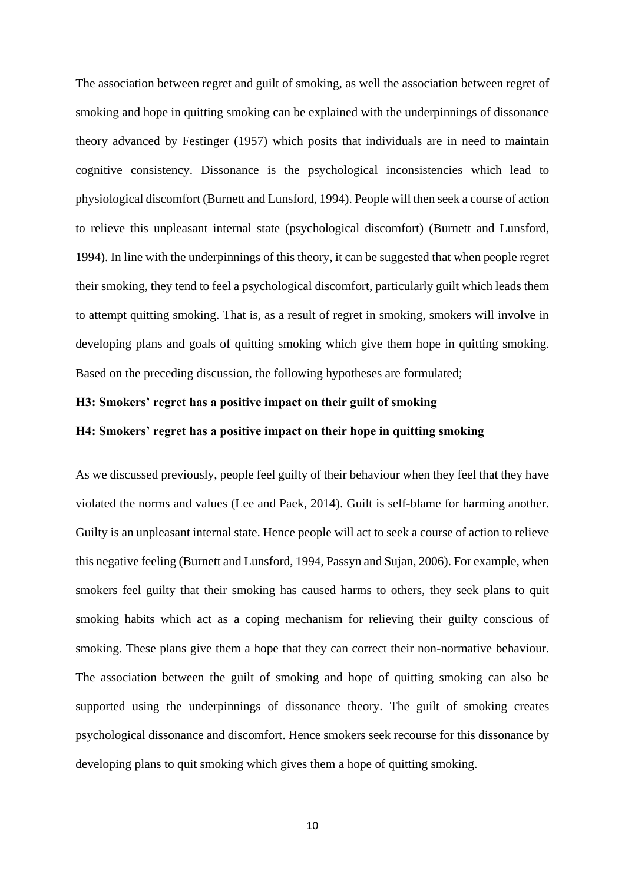The association between regret and guilt of smoking, as well the association between regret of smoking and hope in quitting smoking can be explained with the underpinnings of dissonance theory advanced by Festinger (1957) which posits that individuals are in need to maintain cognitive consistency. Dissonance is the psychological inconsistencies which lead to physiological discomfort (Burnett and Lunsford, 1994). People will then seek a course of action to relieve this unpleasant internal state (psychological discomfort) (Burnett and Lunsford, 1994). In line with the underpinnings of this theory, it can be suggested that when people regret their smoking, they tend to feel a psychological discomfort, particularly guilt which leads them to attempt quitting smoking. That is, as a result of regret in smoking, smokers will involve in developing plans and goals of quitting smoking which give them hope in quitting smoking. Based on the preceding discussion, the following hypotheses are formulated;

#### **H3: Smokers' regret has a positive impact on their guilt of smoking**

### **H4: Smokers' regret has a positive impact on their hope in quitting smoking**

As we discussed previously, people feel guilty of their behaviour when they feel that they have violated the norms and values (Lee and Paek, 2014). Guilt is self-blame for harming another. Guilty is an unpleasant internal state. Hence people will act to seek a course of action to relieve this negative feeling (Burnett and Lunsford, 1994, Passyn and Sujan, 2006). For example, when smokers feel guilty that their smoking has caused harms to others, they seek plans to quit smoking habits which act as a coping mechanism for relieving their guilty conscious of smoking. These plans give them a hope that they can correct their non-normative behaviour. The association between the guilt of smoking and hope of quitting smoking can also be supported using the underpinnings of dissonance theory. The guilt of smoking creates psychological dissonance and discomfort. Hence smokers seek recourse for this dissonance by developing plans to quit smoking which gives them a hope of quitting smoking.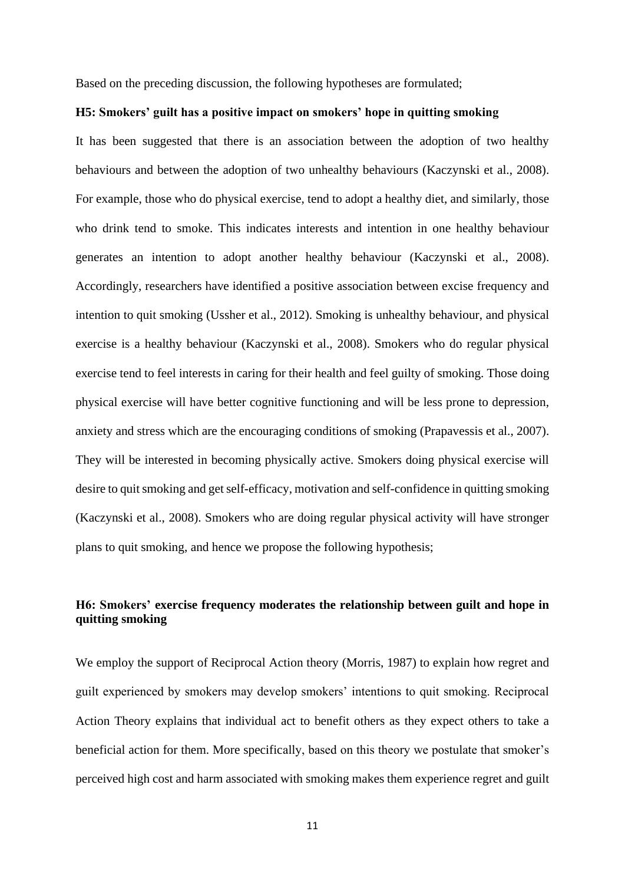Based on the preceding discussion, the following hypotheses are formulated;

#### **H5: Smokers' guilt has a positive impact on smokers' hope in quitting smoking**

It has been suggested that there is an association between the adoption of two healthy behaviours and between the adoption of two unhealthy behaviours (Kaczynski et al., 2008). For example, those who do physical exercise, tend to adopt a healthy diet, and similarly, those who drink tend to smoke. This indicates interests and intention in one healthy behaviour generates an intention to adopt another healthy behaviour (Kaczynski et al., 2008). Accordingly, researchers have identified a positive association between excise frequency and intention to quit smoking (Ussher et al., 2012). Smoking is unhealthy behaviour, and physical exercise is a healthy behaviour (Kaczynski et al., 2008). Smokers who do regular physical exercise tend to feel interests in caring for their health and feel guilty of smoking. Those doing physical exercise will have better cognitive functioning and will be less prone to depression, anxiety and stress which are the encouraging conditions of smoking (Prapavessis et al., 2007). They will be interested in becoming physically active. Smokers doing physical exercise will desire to quit smoking and get self-efficacy, motivation and self-confidence in quitting smoking (Kaczynski et al., 2008). Smokers who are doing regular physical activity will have stronger plans to quit smoking, and hence we propose the following hypothesis;

### **H6: Smokers' exercise frequency moderates the relationship between guilt and hope in quitting smoking**

We employ the support of Reciprocal Action theory (Morris, 1987) to explain how regret and guilt experienced by smokers may develop smokers' intentions to quit smoking. Reciprocal Action Theory explains that individual act to benefit others as they expect others to take a beneficial action for them. More specifically, based on this theory we postulate that smoker's perceived high cost and harm associated with smoking makes them experience regret and guilt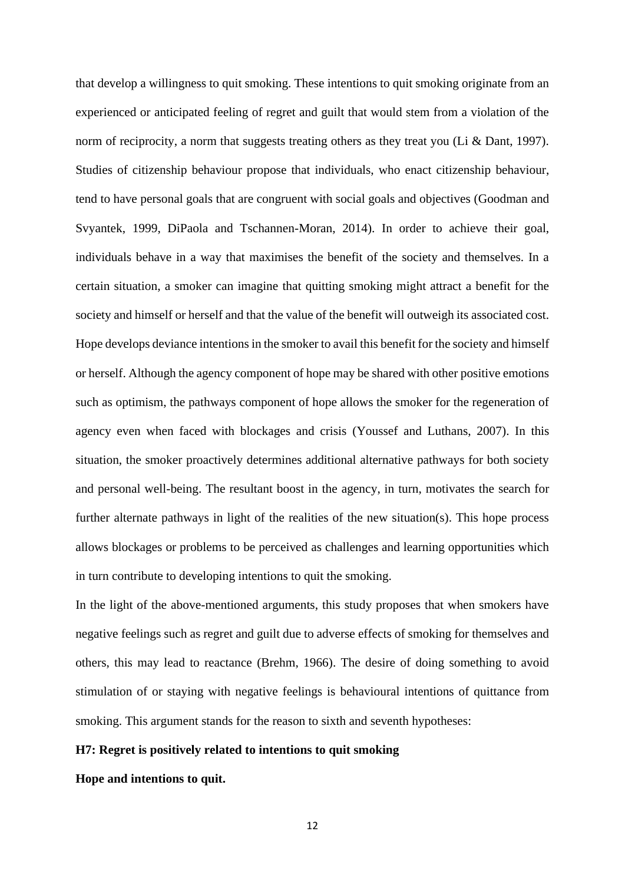that develop a willingness to quit smoking. These intentions to quit smoking originate from an experienced or anticipated feeling of regret and guilt that would stem from a violation of the norm of reciprocity, a norm that suggests treating others as they treat you (Li & Dant, 1997). Studies of citizenship behaviour propose that individuals, who enact citizenship behaviour, tend to have personal goals that are congruent with social goals and objectives (Goodman and Svyantek, 1999, DiPaola and Tschannen-Moran, 2014). In order to achieve their goal, individuals behave in a way that maximises the benefit of the society and themselves. In a certain situation, a smoker can imagine that quitting smoking might attract a benefit for the society and himself or herself and that the value of the benefit will outweigh its associated cost. Hope develops deviance intentions in the smoker to avail this benefit for the society and himself or herself. Although the agency component of hope may be shared with other positive emotions such as optimism, the pathways component of hope allows the smoker for the regeneration of agency even when faced with blockages and crisis (Youssef and Luthans, 2007). In this situation, the smoker proactively determines additional alternative pathways for both society and personal well-being. The resultant boost in the agency, in turn, motivates the search for further alternate pathways in light of the realities of the new situation(s). This hope process allows blockages or problems to be perceived as challenges and learning opportunities which in turn contribute to developing intentions to quit the smoking.

In the light of the above-mentioned arguments, this study proposes that when smokers have negative feelings such as regret and guilt due to adverse effects of smoking for themselves and others, this may lead to reactance (Brehm, 1966). The desire of doing something to avoid stimulation of or staying with negative feelings is behavioural intentions of quittance from smoking. This argument stands for the reason to sixth and seventh hypotheses:

#### **H7: Regret is positively related to intentions to quit smoking**

**Hope and intentions to quit.**

12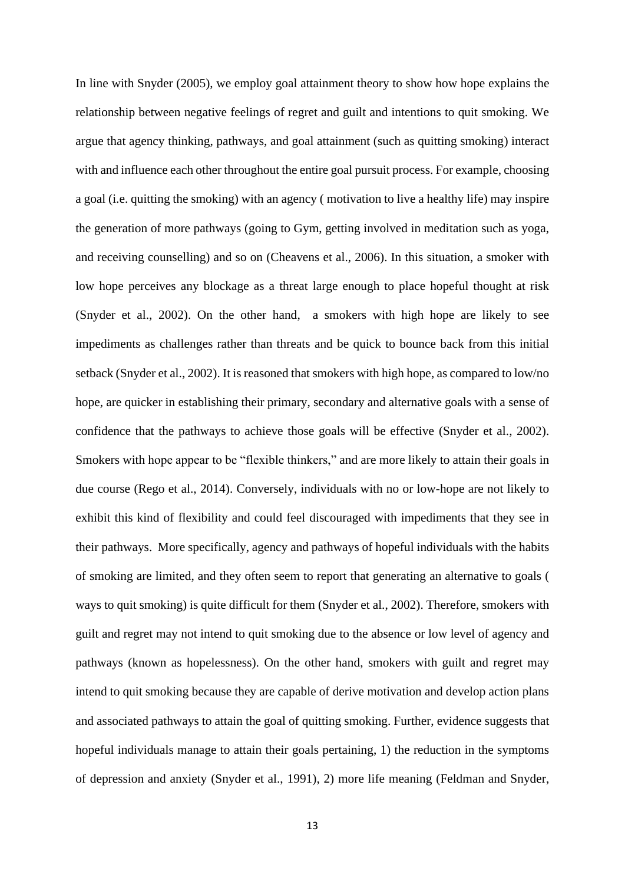In line with Snyder (2005), we employ goal attainment theory to show how hope explains the relationship between negative feelings of regret and guilt and intentions to quit smoking. We argue that agency thinking, pathways, and goal attainment (such as quitting smoking) interact with and influence each other throughout the entire goal pursuit process. For example, choosing a goal (i.e. quitting the smoking) with an agency ( motivation to live a healthy life) may inspire the generation of more pathways (going to Gym, getting involved in meditation such as yoga, and receiving counselling) and so on (Cheavens et al., 2006). In this situation, a smoker with low hope perceives any blockage as a threat large enough to place hopeful thought at risk (Snyder et al., 2002). On the other hand, a smokers with high hope are likely to see impediments as challenges rather than threats and be quick to bounce back from this initial setback (Snyder et al., 2002). It is reasoned that smokers with high hope, as compared to low/no hope, are quicker in establishing their primary, secondary and alternative goals with a sense of confidence that the pathways to achieve those goals will be effective (Snyder et al., 2002). Smokers with hope appear to be "flexible thinkers," and are more likely to attain their goals in due course (Rego et al., 2014). Conversely, individuals with no or low-hope are not likely to exhibit this kind of flexibility and could feel discouraged with impediments that they see in their pathways. More specifically, agency and pathways of hopeful individuals with the habits of smoking are limited, and they often seem to report that generating an alternative to goals ( ways to quit smoking) is quite difficult for them (Snyder et al., 2002). Therefore, smokers with guilt and regret may not intend to quit smoking due to the absence or low level of agency and pathways (known as hopelessness). On the other hand, smokers with guilt and regret may intend to quit smoking because they are capable of derive motivation and develop action plans and associated pathways to attain the goal of quitting smoking. Further, evidence suggests that hopeful individuals manage to attain their goals pertaining, 1) the reduction in the symptoms of depression and anxiety (Snyder et al., 1991), 2) more life meaning (Feldman and Snyder,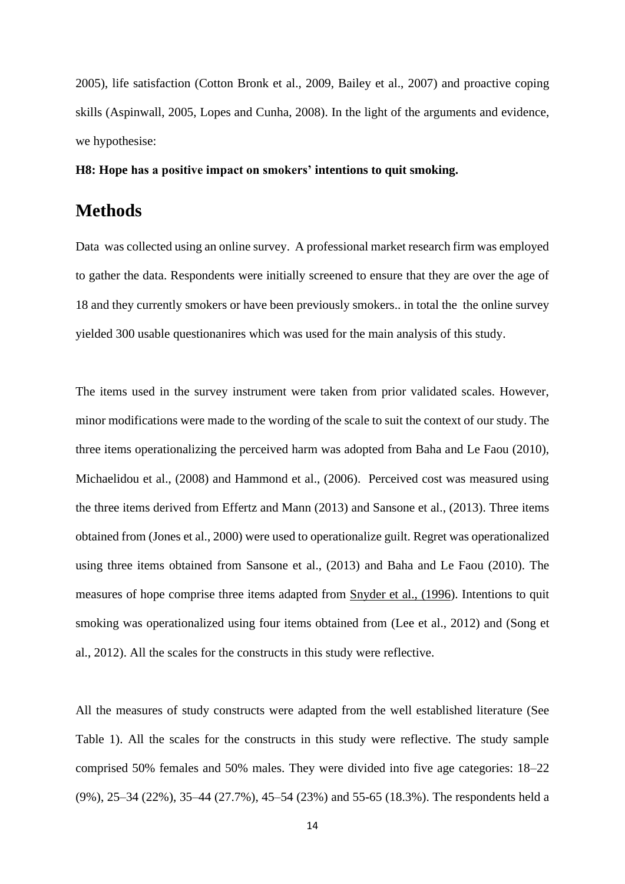2005), life satisfaction (Cotton Bronk et al., 2009, Bailey et al., 2007) and proactive coping skills (Aspinwall, 2005, Lopes and Cunha, 2008). In the light of the arguments and evidence, we hypothesise:

**H8: Hope has a positive impact on smokers' intentions to quit smoking.**

# **Methods**

Data was collected using an online survey. A professional market research firm was employed to gather the data. Respondents were initially screened to ensure that they are over the age of 18 and they currently smokers or have been previously smokers.. in total the the online survey yielded 300 usable questionanires which was used for the main analysis of this study.

The items used in the survey instrument were taken from prior validated scales. However, minor modifications were made to the wording of the scale to suit the context of our study. The three items operationalizing the perceived harm was adopted from Baha and Le Faou (2010), Michaelidou et al., (2008) and Hammond et al., (2006). Perceived cost was measured using the three items derived from Effertz and Mann (2013) and Sansone et al., (2013). Three items obtained from (Jones et al., 2000) were used to operationalize guilt. Regret was operationalized using three items obtained from Sansone et al., (2013) and Baha and Le Faou (2010). The measures of hope comprise three items adapted from [Snyder et al., \(1996\)](http://www.sciencedirect.com/science/article/pii/S0191886906002030#bib20). Intentions to quit smoking was operationalized using four items obtained from (Lee et al., 2012) and (Song et al., 2012). All the scales for the constructs in this study were reflective.

All the measures of study constructs were adapted from the well established literature (See Table 1). All the scales for the constructs in this study were reflective. The study sample comprised 50% females and 50% males. They were divided into five age categories: 18–22 (9%), 25–34 (22%), 35–44 (27.7%), 45–54 (23%) and 55-65 (18.3%). The respondents held a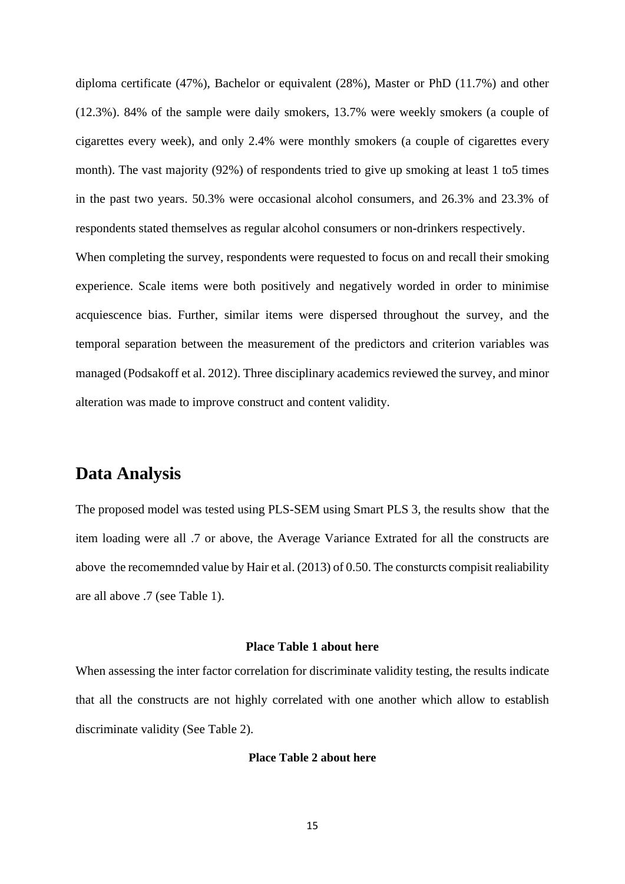diploma certificate (47%), Bachelor or equivalent (28%), Master or PhD (11.7%) and other (12.3%). 84% of the sample were daily smokers, 13.7% were weekly smokers (a couple of cigarettes every week), and only 2.4% were monthly smokers (a couple of cigarettes every month). The vast majority (92%) of respondents tried to give up smoking at least 1 to5 times in the past two years. 50.3% were occasional alcohol consumers, and 26.3% and 23.3% of respondents stated themselves as regular alcohol consumers or non-drinkers respectively. When completing the survey, respondents were requested to focus on and recall their smoking

experience. Scale items were both positively and negatively worded in order to minimise acquiescence bias. Further, similar items were dispersed throughout the survey, and the temporal separation between the measurement of the predictors and criterion variables was managed (Podsakoff et al. 2012). Three disciplinary academics reviewed the survey, and minor alteration was made to improve construct and content validity.

# **Data Analysis**

The proposed model was tested using PLS-SEM using Smart PLS 3, the results show that the item loading were all .7 or above, the Average Variance Extrated for all the constructs are above the recomemnded value by Hair et al. (2013) of 0.50. The consturcts compisit realiability are all above .7 (see Table 1).

#### **Place Table 1 about here**

When assessing the inter factor correlation for discriminate validity testing, the results indicate that all the constructs are not highly correlated with one another which allow to establish discriminate validity (See Table 2).

#### **Place Table 2 about here**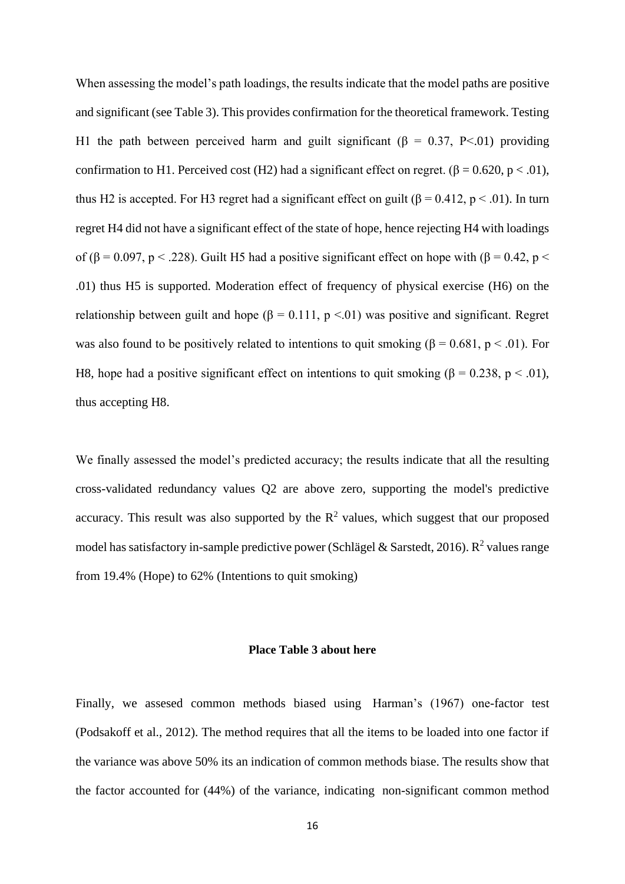When assessing the model's path loadings, the results indicate that the model paths are positive and significant (see Table 3). This provides confirmation for the theoretical framework. Testing H1 the path between perceived harm and guilt significant ( $\beta = 0.37$ , P<.01) providing confirmation to H1. Perceived cost (H2) had a significant effect on regret. ( $\beta = 0.620$ ,  $p < .01$ ), thus H2 is accepted. For H3 regret had a significant effect on guilt (β = 0.412, p < .01). In turn regret H4 did not have a significant effect of the state of hope, hence rejecting H4 with loadings of ( $\beta$  = 0.097, p < .228). Guilt H5 had a positive significant effect on hope with ( $\beta$  = 0.42, p < .01) thus H5 is supported. Moderation effect of frequency of physical exercise (H6) on the relationship between guilt and hope ( $\beta = 0.111$ ,  $p < 01$ ) was positive and significant. Regret was also found to be positively related to intentions to quit smoking ( $\beta = 0.681$ ,  $p < .01$ ). For H8, hope had a positive significant effect on intentions to quit smoking ( $\beta = 0.238$ ,  $p < .01$ ), thus accepting H8.

We finally assessed the model's predicted accuracy; the results indicate that all the resulting cross-validated redundancy values Q2 are above zero, supporting the model's predictive accuracy. This result was also supported by the  $\mathbb{R}^2$  values, which suggest that our proposed model has satisfactory in-sample predictive power (Schlägel & Sarstedt, 2016). R<sup>2</sup> values range from 19.4% (Hope) to 62% (Intentions to quit smoking)

#### **Place Table 3 about here**

Finally, we assesed common methods biased using Harman's (1967) one-factor test (Podsakoff et al., 2012). The method requires that all the items to be loaded into one factor if the variance was above 50% its an indication of common methods biase. The results show that the factor accounted for (44%) of the variance, indicating non-significant common method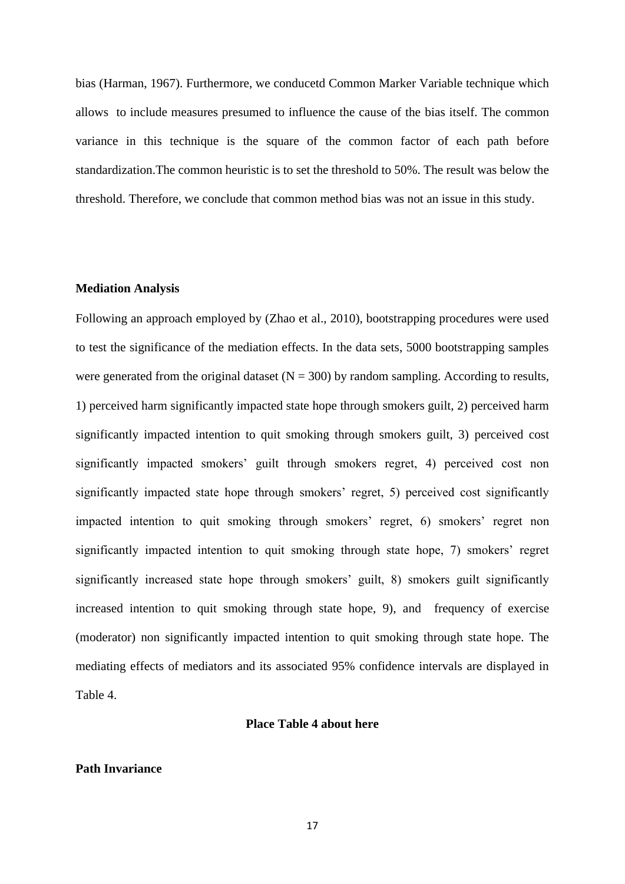bias (Harman, 1967). Furthermore, we conducetd Common Marker Variable technique which allows to include measures presumed to influence the cause of the bias itself. The common variance in this technique is the square of the common factor of each path before standardization.The common heuristic is to set the threshold to 50%. The result was below the threshold. Therefore, we conclude that common method bias was not an issue in this study.

#### **Mediation Analysis**

Following an approach employed by (Zhao et al., 2010), bootstrapping procedures were used to test the significance of the mediation effects. In the data sets, 5000 bootstrapping samples were generated from the original dataset  $(N = 300)$  by random sampling. According to results, 1) perceived harm significantly impacted state hope through smokers guilt, 2) perceived harm significantly impacted intention to quit smoking through smokers guilt, 3) perceived cost significantly impacted smokers' guilt through smokers regret, 4) perceived cost non significantly impacted state hope through smokers' regret, 5) perceived cost significantly impacted intention to quit smoking through smokers' regret, 6) smokers' regret non significantly impacted intention to quit smoking through state hope, 7) smokers' regret significantly increased state hope through smokers' guilt, 8) smokers guilt significantly increased intention to quit smoking through state hope, 9), and frequency of exercise (moderator) non significantly impacted intention to quit smoking through state hope. The mediating effects of mediators and its associated 95% confidence intervals are displayed in Table 4.

#### **Place Table 4 about here**

#### **Path Invariance**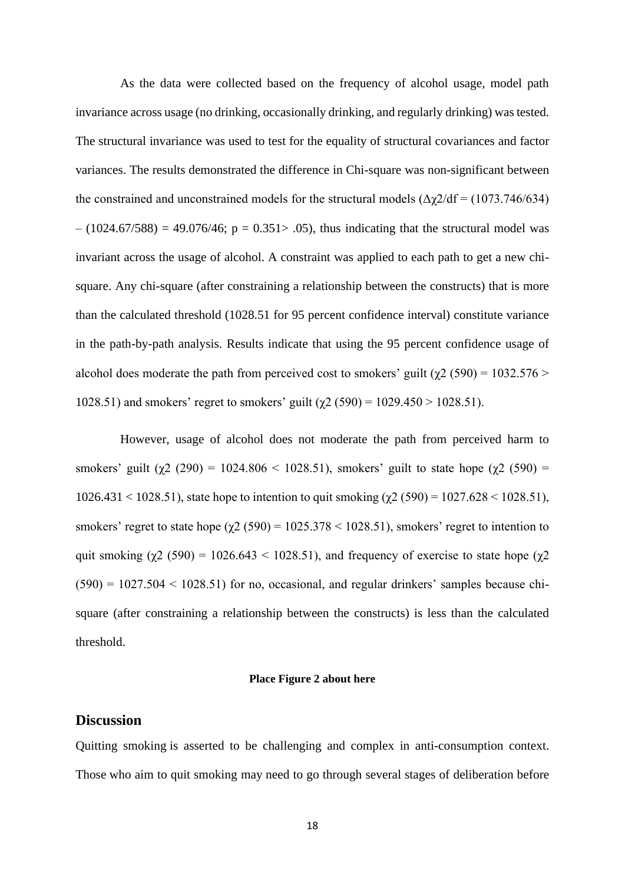As the data were collected based on the frequency of alcohol usage, model path invariance across usage (no drinking, occasionally drinking, and regularly drinking) was tested. The structural invariance was used to test for the equality of structural covariances and factor variances. The results demonstrated the difference in Chi-square was non-significant between the constrained and unconstrained models for the structural models  $(\Delta \chi/2/df = (1073.746/634))$  $- (1024.67/588) = 49.076/46$ ; p = 0.351 > 0.05), thus indicating that the structural model was invariant across the usage of alcohol. A constraint was applied to each path to get a new chisquare. Any chi-square (after constraining a relationship between the constructs) that is more than the calculated threshold (1028.51 for 95 percent confidence interval) constitute variance in the path-by-path analysis. Results indicate that using the 95 percent confidence usage of alcohol does moderate the path from perceived cost to smokers' guilt ( $\chi$ 2 (590) = 1032.576 > 1028.51) and smokers' regret to smokers' guilt ( $χ$ 2 (590) = 1029.450 > 1028.51).

However, usage of alcohol does not moderate the path from perceived harm to smokers' guilt ( $\chi$ 2 (290) = 1024.806 < 1028.51), smokers' guilt to state hope ( $\chi$ 2 (590) =  $1026.431 < 1028.51$ , state hope to intention to quit smoking ( $\chi$ 2 (590) = 1027.628 < 1028.51), smokers' regret to state hope  $(\gamma 2 (590) = 1025.378 < 1028.51)$ , smokers' regret to intention to quit smoking  $(\chi^2 (590) = 1026.643 < 1028.51)$ , and frequency of exercise to state hope  $(\chi^2$  $(590) = 1027.504 \le 1028.51$  for no, occasional, and regular drinkers' samples because chisquare (after constraining a relationship between the constructs) is less than the calculated threshold.

#### **Place Figure 2 about here**

### **Discussion**

Quitting smoking is asserted to be challenging and complex in anti-consumption context. Those who aim to quit smoking may need to go through several stages of deliberation before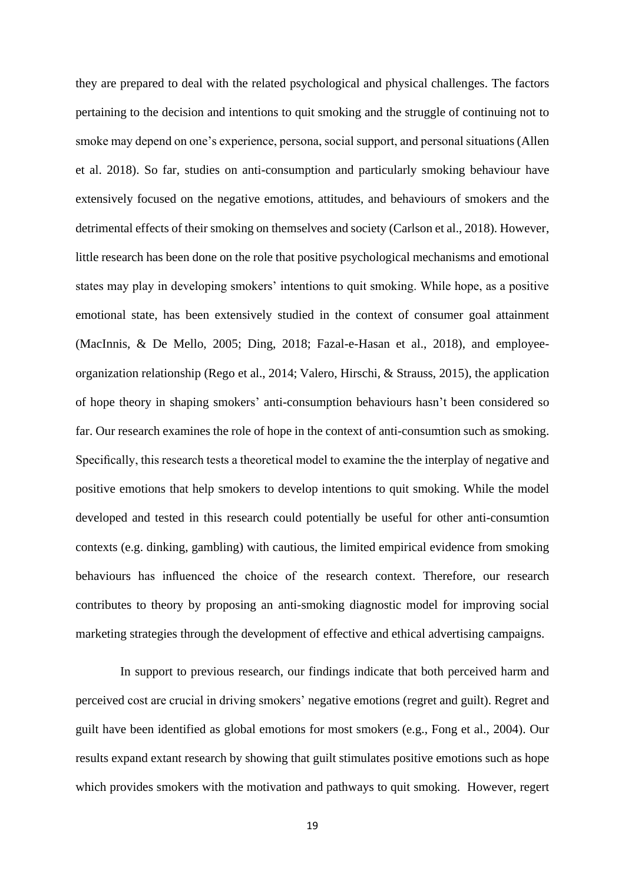they are prepared to deal with the related psychological and physical challenges. The factors pertaining to the decision and intentions to quit smoking and the struggle of continuing not to smoke may depend on one's experience, persona, social support, and personal situations (Allen et al. 2018). So far, studies on anti-consumption and particularly smoking behaviour have extensively focused on the negative emotions, attitudes, and behaviours of smokers and the detrimental effects of their smoking on themselves and society (Carlson et al., 2018). However, little research has been done on the role that positive psychological mechanisms and emotional states may play in developing smokers' intentions to quit smoking. While hope, as a positive emotional state, has been extensively studied in the context of consumer goal attainment (MacInnis, & De Mello, 2005; Ding, 2018; Fazal-e-Hasan et al., 2018), and employeeorganization relationship (Rego et al., 2014; Valero, Hirschi, & Strauss, 2015), the application of hope theory in shaping smokers' anti-consumption behaviours hasn't been considered so far. Our research examines the role of hope in the context of anti-consumtion such as smoking. Specifically, this research tests a theoretical model to examine the the interplay of negative and positive emotions that help smokers to develop intentions to quit smoking. While the model developed and tested in this research could potentially be useful for other anti-consumtion contexts (e.g. dinking, gambling) with cautious, the limited empirical evidence from smoking behaviours has influenced the choice of the research context. Therefore, our research contributes to theory by proposing an anti-smoking diagnostic model for improving social marketing strategies through the development of effective and ethical advertising campaigns.

In support to previous research, our findings indicate that both perceived harm and perceived cost are crucial in driving smokers' negative emotions (regret and guilt). Regret and guilt have been identified as global emotions for most smokers (e.g., Fong et al., 2004). Our results expand extant research by showing that guilt stimulates positive emotions such as hope which provides smokers with the motivation and pathways to quit smoking. However, regert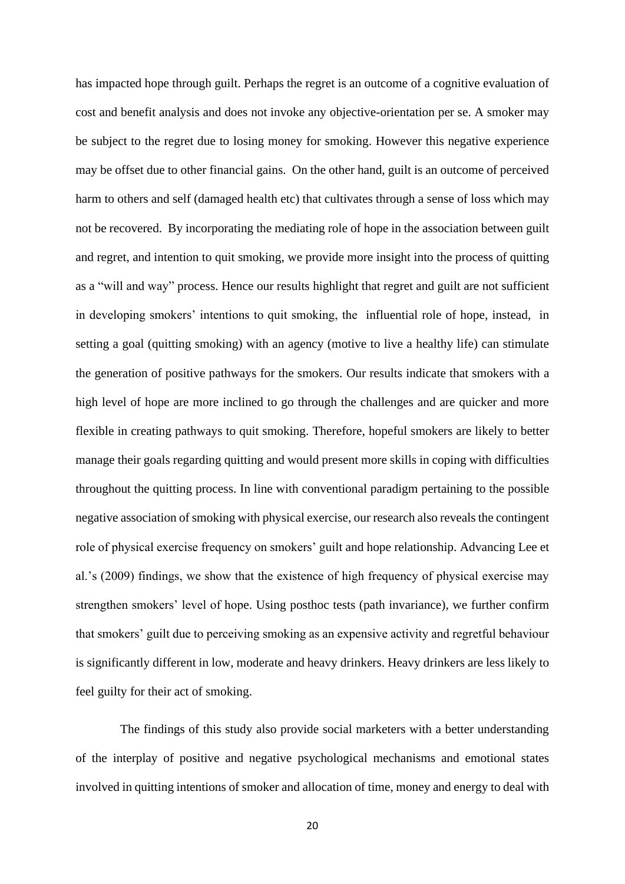has impacted hope through guilt. Perhaps the regret is an outcome of a cognitive evaluation of cost and benefit analysis and does not invoke any objective-orientation per se. A smoker may be subject to the regret due to losing money for smoking. However this negative experience may be offset due to other financial gains. On the other hand, guilt is an outcome of perceived harm to others and self (damaged health etc) that cultivates through a sense of loss which may not be recovered. By incorporating the mediating role of hope in the association between guilt and regret, and intention to quit smoking, we provide more insight into the process of quitting as a "will and way" process. Hence our results highlight that regret and guilt are not sufficient in developing smokers' intentions to quit smoking, the influential role of hope, instead, in setting a goal (quitting smoking) with an agency (motive to live a healthy life) can stimulate the generation of positive pathways for the smokers. Our results indicate that smokers with a high level of hope are more inclined to go through the challenges and are quicker and more flexible in creating pathways to quit smoking. Therefore, hopeful smokers are likely to better manage their goals regarding quitting and would present more skills in coping with difficulties throughout the quitting process. In line with conventional paradigm pertaining to the possible negative association of smoking with physical exercise, our research also reveals the contingent role of physical exercise frequency on smokers' guilt and hope relationship. Advancing Lee et al.'s (2009) findings, we show that the existence of high frequency of physical exercise may strengthen smokers' level of hope. Using posthoc tests (path invariance), we further confirm that smokers' guilt due to perceiving smoking as an expensive activity and regretful behaviour is significantly different in low, moderate and heavy drinkers. Heavy drinkers are less likely to feel guilty for their act of smoking.

The findings of this study also provide social marketers with a better understanding of the interplay of positive and negative psychological mechanisms and emotional states involved in quitting intentions of smoker and allocation of time, money and energy to deal with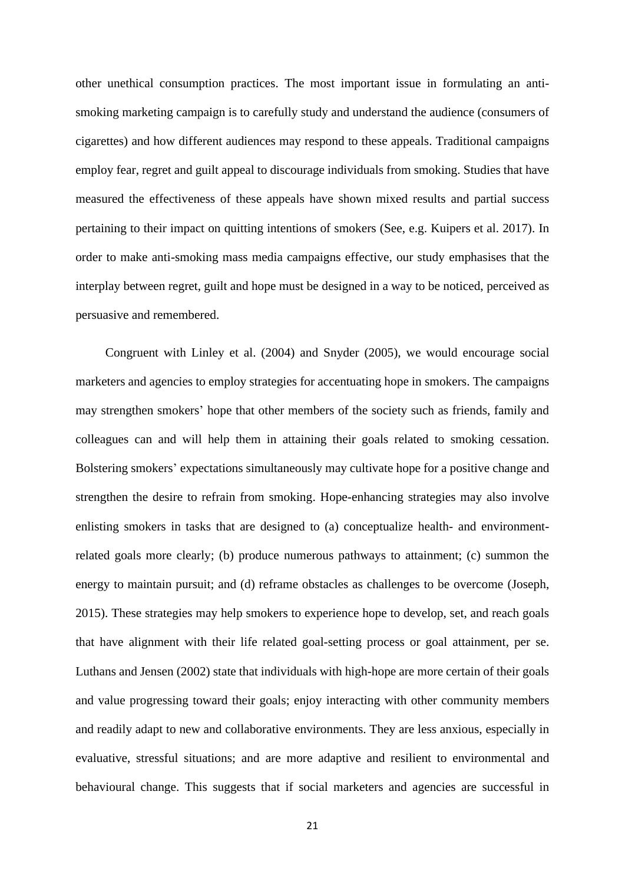other unethical consumption practices. The most important issue in formulating an antismoking marketing campaign is to carefully study and understand the audience (consumers of cigarettes) and how different audiences may respond to these appeals. Traditional campaigns employ fear, regret and guilt appeal to discourage individuals from smoking. Studies that have measured the effectiveness of these appeals have shown mixed results and partial success pertaining to their impact on quitting intentions of smokers (See, e.g. Kuipers et al. 2017). In order to make anti-smoking mass media campaigns effective, our study emphasises that the interplay between regret, guilt and hope must be designed in a way to be noticed, perceived as persuasive and remembered.

Congruent with Linley et al. (2004) and Snyder (2005), we would encourage social marketers and agencies to employ strategies for accentuating hope in smokers. The campaigns may strengthen smokers' hope that other members of the society such as friends, family and colleagues can and will help them in attaining their goals related to smoking cessation. Bolstering smokers' expectations simultaneously may cultivate hope for a positive change and strengthen the desire to refrain from smoking. Hope-enhancing strategies may also involve enlisting smokers in tasks that are designed to (a) conceptualize health- and environmentrelated goals more clearly; (b) produce numerous pathways to attainment; (c) summon the energy to maintain pursuit; and (d) reframe obstacles as challenges to be overcome (Joseph, 2015). These strategies may help smokers to experience hope to develop, set, and reach goals that have alignment with their life related goal-setting process or goal attainment, per se. Luthans and Jensen (2002) state that individuals with high-hope are more certain of their goals and value progressing toward their goals; enjoy interacting with other community members and readily adapt to new and collaborative environments. They are less anxious, especially in evaluative, stressful situations; and are more adaptive and resilient to environmental and behavioural change. This suggests that if social marketers and agencies are successful in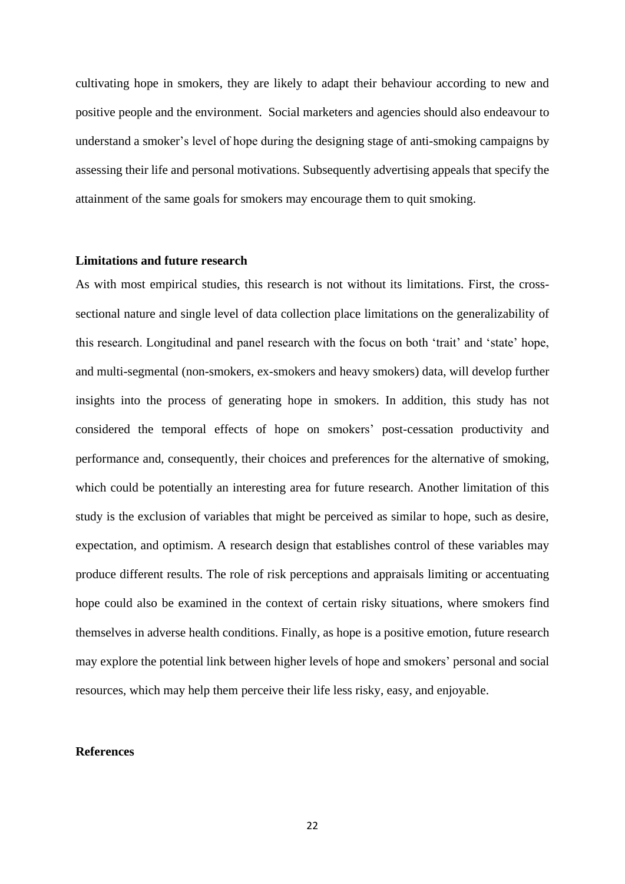cultivating hope in smokers, they are likely to adapt their behaviour according to new and positive people and the environment. Social marketers and agencies should also endeavour to understand a smoker's level of hope during the designing stage of anti-smoking campaigns by assessing their life and personal motivations. Subsequently advertising appeals that specify the attainment of the same goals for smokers may encourage them to quit smoking.

### **Limitations and future research**

As with most empirical studies, this research is not without its limitations. First, the crosssectional nature and single level of data collection place limitations on the generalizability of this research. Longitudinal and panel research with the focus on both 'trait' and 'state' hope, and multi-segmental (non-smokers, ex-smokers and heavy smokers) data, will develop further insights into the process of generating hope in smokers. In addition, this study has not considered the temporal effects of hope on smokers' post-cessation productivity and performance and, consequently, their choices and preferences for the alternative of smoking, which could be potentially an interesting area for future research. Another limitation of this study is the exclusion of variables that might be perceived as similar to hope, such as desire, expectation, and optimism. A research design that establishes control of these variables may produce different results. The role of risk perceptions and appraisals limiting or accentuating hope could also be examined in the context of certain risky situations, where smokers find themselves in adverse health conditions. Finally, as hope is a positive emotion, future research may explore the potential link between higher levels of hope and smokers' personal and social resources, which may help them perceive their life less risky, easy, and enjoyable.

#### **References**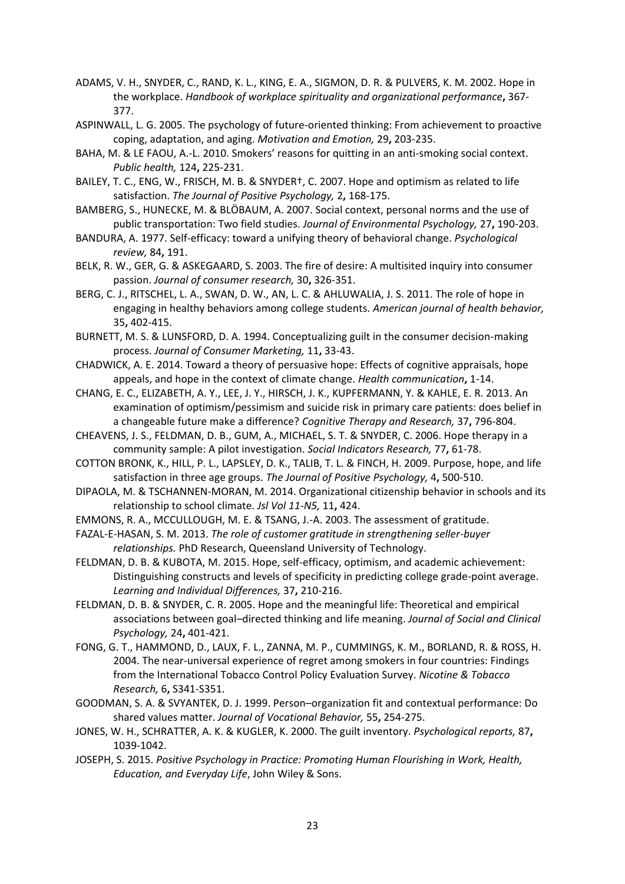- ADAMS, V. H., SNYDER, C., RAND, K. L., KING, E. A., SIGMON, D. R. & PULVERS, K. M. 2002. Hope in the workplace. *Handbook of workplace spirituality and organizational performance***,** 367- 377.
- ASPINWALL, L. G. 2005. The psychology of future-oriented thinking: From achievement to proactive coping, adaptation, and aging. *Motivation and Emotion,* 29**,** 203-235.
- BAHA, M. & LE FAOU, A.-L. 2010. Smokers' reasons for quitting in an anti-smoking social context. *Public health,* 124**,** 225-231.
- BAILEY, T. C., ENG, W., FRISCH, M. B. & SNYDER†, C. 2007. Hope and optimism as related to life satisfaction. *The Journal of Positive Psychology,* 2**,** 168-175.
- BAMBERG, S., HUNECKE, M. & BLÖBAUM, A. 2007. Social context, personal norms and the use of public transportation: Two field studies. *Journal of Environmental Psychology,* 27**,** 190-203.
- BANDURA, A. 1977. Self-efficacy: toward a unifying theory of behavioral change. *Psychological review,* 84**,** 191.
- BELK, R. W., GER, G. & ASKEGAARD, S. 2003. The fire of desire: A multisited inquiry into consumer passion. *Journal of consumer research,* 30**,** 326-351.
- BERG, C. J., RITSCHEL, L. A., SWAN, D. W., AN, L. C. & AHLUWALIA, J. S. 2011. The role of hope in engaging in healthy behaviors among college students. *American journal of health behavior,* 35**,** 402-415.
- BURNETT, M. S. & LUNSFORD, D. A. 1994. Conceptualizing guilt in the consumer decision-making process. *Journal of Consumer Marketing,* 11**,** 33-43.
- CHADWICK, A. E. 2014. Toward a theory of persuasive hope: Effects of cognitive appraisals, hope appeals, and hope in the context of climate change. *Health communication***,** 1-14.
- CHANG, E. C., ELIZABETH, A. Y., LEE, J. Y., HIRSCH, J. K., KUPFERMANN, Y. & KAHLE, E. R. 2013. An examination of optimism/pessimism and suicide risk in primary care patients: does belief in a changeable future make a difference? *Cognitive Therapy and Research,* 37**,** 796-804.
- CHEAVENS, J. S., FELDMAN, D. B., GUM, A., MICHAEL, S. T. & SNYDER, C. 2006. Hope therapy in a community sample: A pilot investigation. *Social Indicators Research,* 77**,** 61-78.
- COTTON BRONK, K., HILL, P. L., LAPSLEY, D. K., TALIB, T. L. & FINCH, H. 2009. Purpose, hope, and life satisfaction in three age groups. *The Journal of Positive Psychology,* 4**,** 500-510.
- DIPAOLA, M. & TSCHANNEN-MORAN, M. 2014. Organizational citizenship behavior in schools and its relationship to school climate. *Jsl Vol 11-N5,* 11**,** 424.
- EMMONS, R. A., MCCULLOUGH, M. E. & TSANG, J.-A. 2003. The assessment of gratitude.
- FAZAL-E-HASAN, S. M. 2013. *The role of customer gratitude in strengthening seller-buyer relationships.* PhD Research, Queensland University of Technology.
- FELDMAN, D. B. & KUBOTA, M. 2015. Hope, self-efficacy, optimism, and academic achievement: Distinguishing constructs and levels of specificity in predicting college grade-point average. *Learning and Individual Differences,* 37**,** 210-216.
- FELDMAN, D. B. & SNYDER, C. R. 2005. Hope and the meaningful life: Theoretical and empirical associations between goal–directed thinking and life meaning. *Journal of Social and Clinical Psychology,* 24**,** 401-421.
- FONG, G. T., HAMMOND, D., LAUX, F. L., ZANNA, M. P., CUMMINGS, K. M., BORLAND, R. & ROSS, H. 2004. The near-universal experience of regret among smokers in four countries: Findings from the International Tobacco Control Policy Evaluation Survey. *Nicotine & Tobacco Research,* 6**,** S341-S351.
- GOODMAN, S. A. & SVYANTEK, D. J. 1999. Person–organization fit and contextual performance: Do shared values matter. *Journal of Vocational Behavior,* 55**,** 254-275.
- JONES, W. H., SCHRATTER, A. K. & KUGLER, K. 2000. The guilt inventory. *Psychological reports,* 87**,** 1039-1042.
- JOSEPH, S. 2015. *Positive Psychology in Practice: Promoting Human Flourishing in Work, Health, Education, and Everyday Life*, John Wiley & Sons.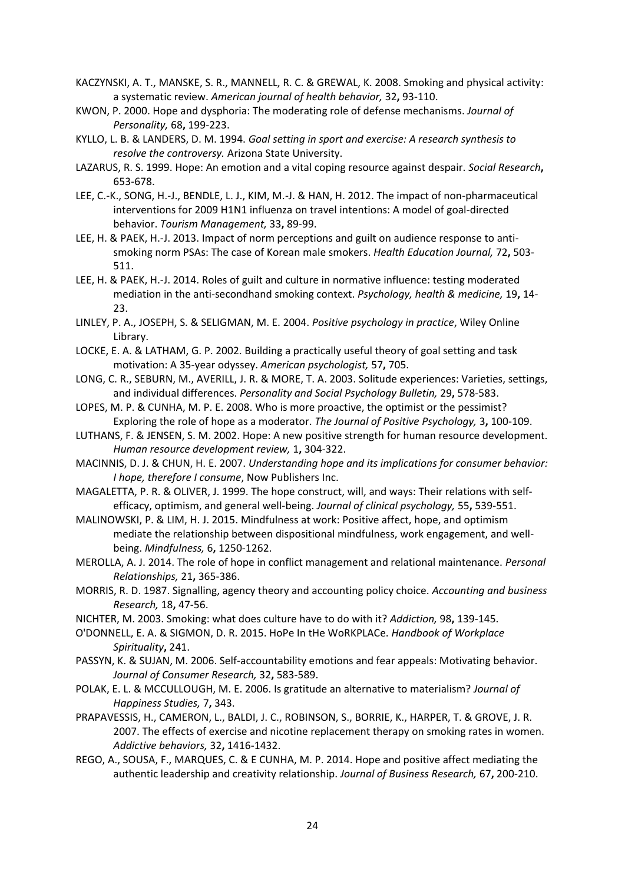- KACZYNSKI, A. T., MANSKE, S. R., MANNELL, R. C. & GREWAL, K. 2008. Smoking and physical activity: a systematic review. *American journal of health behavior,* 32**,** 93-110.
- KWON, P. 2000. Hope and dysphoria: The moderating role of defense mechanisms. *Journal of Personality,* 68**,** 199-223.
- KYLLO, L. B. & LANDERS, D. M. 1994. *Goal setting in sport and exercise: A research synthesis to resolve the controversy.* Arizona State University.
- LAZARUS, R. S. 1999. Hope: An emotion and a vital coping resource against despair. *Social Research***,** 653-678.
- LEE, C.-K., SONG, H.-J., BENDLE, L. J., KIM, M.-J. & HAN, H. 2012. The impact of non-pharmaceutical interventions for 2009 H1N1 influenza on travel intentions: A model of goal-directed behavior. *Tourism Management,* 33**,** 89-99.
- LEE, H. & PAEK, H.-J. 2013. Impact of norm perceptions and guilt on audience response to antismoking norm PSAs: The case of Korean male smokers. *Health Education Journal,* 72**,** 503- 511.
- LEE, H. & PAEK, H.-J. 2014. Roles of guilt and culture in normative influence: testing moderated mediation in the anti-secondhand smoking context. *Psychology, health & medicine,* 19**,** 14- 23.
- LINLEY, P. A., JOSEPH, S. & SELIGMAN, M. E. 2004. *Positive psychology in practice*, Wiley Online Library.
- LOCKE, E. A. & LATHAM, G. P. 2002. Building a practically useful theory of goal setting and task motivation: A 35-year odyssey. *American psychologist,* 57**,** 705.
- LONG, C. R., SEBURN, M., AVERILL, J. R. & MORE, T. A. 2003. Solitude experiences: Varieties, settings, and individual differences. *Personality and Social Psychology Bulletin,* 29**,** 578-583.
- LOPES, M. P. & CUNHA, M. P. E. 2008. Who is more proactive, the optimist or the pessimist? Exploring the role of hope as a moderator. *The Journal of Positive Psychology,* 3**,** 100-109.
- LUTHANS, F. & JENSEN, S. M. 2002. Hope: A new positive strength for human resource development. *Human resource development review,* 1**,** 304-322.
- MACINNIS, D. J. & CHUN, H. E. 2007. *Understanding hope and its implications for consumer behavior: I hope, therefore I consume*, Now Publishers Inc.
- MAGALETTA, P. R. & OLIVER, J. 1999. The hope construct, will, and ways: Their relations with self‐ efficacy, optimism, and general well‐being. *Journal of clinical psychology,* 55**,** 539-551.
- MALINOWSKI, P. & LIM, H. J. 2015. Mindfulness at work: Positive affect, hope, and optimism mediate the relationship between dispositional mindfulness, work engagement, and wellbeing. *Mindfulness,* 6**,** 1250-1262.
- MEROLLA, A. J. 2014. The role of hope in conflict management and relational maintenance. *Personal Relationships,* 21**,** 365-386.
- MORRIS, R. D. 1987. Signalling, agency theory and accounting policy choice. *Accounting and business Research,* 18**,** 47-56.
- NICHTER, M. 2003. Smoking: what does culture have to do with it? *Addiction,* 98**,** 139-145.
- O'DONNELL, E. A. & SIGMON, D. R. 2015. HoPe In tHe WoRKPLACe. *Handbook of Workplace Spirituality***,** 241.
- PASSYN, K. & SUJAN, M. 2006. Self-accountability emotions and fear appeals: Motivating behavior. *Journal of Consumer Research,* 32**,** 583-589.
- POLAK, E. L. & MCCULLOUGH, M. E. 2006. Is gratitude an alternative to materialism? *Journal of Happiness Studies,* 7**,** 343.
- PRAPAVESSIS, H., CAMERON, L., BALDI, J. C., ROBINSON, S., BORRIE, K., HARPER, T. & GROVE, J. R. 2007. The effects of exercise and nicotine replacement therapy on smoking rates in women. *Addictive behaviors,* 32**,** 1416-1432.
- REGO, A., SOUSA, F., MARQUES, C. & E CUNHA, M. P. 2014. Hope and positive affect mediating the authentic leadership and creativity relationship. *Journal of Business Research,* 67**,** 200-210.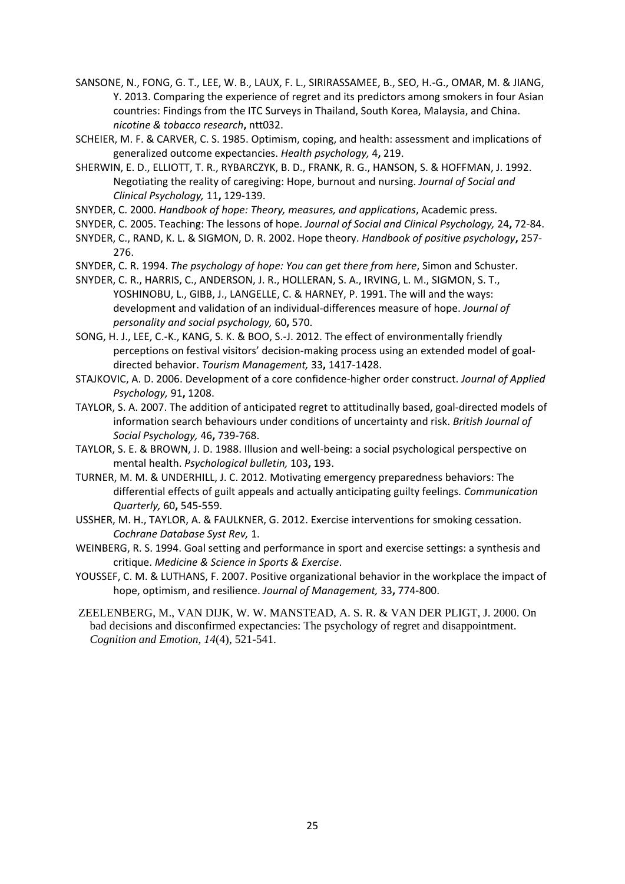- SANSONE, N., FONG, G. T., LEE, W. B., LAUX, F. L., SIRIRASSAMEE, B., SEO, H.-G., OMAR, M. & JIANG, Y. 2013. Comparing the experience of regret and its predictors among smokers in four Asian countries: Findings from the ITC Surveys in Thailand, South Korea, Malaysia, and China. *nicotine & tobacco research***,** ntt032.
- SCHEIER, M. F. & CARVER, C. S. 1985. Optimism, coping, and health: assessment and implications of generalized outcome expectancies. *Health psychology,* 4**,** 219.
- SHERWIN, E. D., ELLIOTT, T. R., RYBARCZYK, B. D., FRANK, R. G., HANSON, S. & HOFFMAN, J. 1992. Negotiating the reality of caregiving: Hope, burnout and nursing. *Journal of Social and Clinical Psychology,* 11**,** 129-139.
- SNYDER, C. 2000. *Handbook of hope: Theory, measures, and applications*, Academic press.
- SNYDER, C. 2005. Teaching: The lessons of hope. *Journal of Social and Clinical Psychology,* 24**,** 72-84.
- SNYDER, C., RAND, K. L. & SIGMON, D. R. 2002. Hope theory. *Handbook of positive psychology***,** 257- 276.
- SNYDER, C. R. 1994. *The psychology of hope: You can get there from here*, Simon and Schuster.
- SNYDER, C. R., HARRIS, C., ANDERSON, J. R., HOLLERAN, S. A., IRVING, L. M., SIGMON, S. T., YOSHINOBU, L., GIBB, J., LANGELLE, C. & HARNEY, P. 1991. The will and the ways: development and validation of an individual-differences measure of hope. *Journal of personality and social psychology,* 60**,** 570.
- SONG, H. J., LEE, C.-K., KANG, S. K. & BOO, S.-J. 2012. The effect of environmentally friendly perceptions on festival visitors' decision-making process using an extended model of goaldirected behavior. *Tourism Management,* 33**,** 1417-1428.
- STAJKOVIC, A. D. 2006. Development of a core confidence-higher order construct. *Journal of Applied Psychology,* 91**,** 1208.
- TAYLOR, S. A. 2007. The addition of anticipated regret to attitudinally based, goal‐directed models of information search behaviours under conditions of uncertainty and risk. *British Journal of Social Psychology,* 46**,** 739-768.
- TAYLOR, S. E. & BROWN, J. D. 1988. Illusion and well-being: a social psychological perspective on mental health. *Psychological bulletin,* 103**,** 193.
- TURNER, M. M. & UNDERHILL, J. C. 2012. Motivating emergency preparedness behaviors: The differential effects of guilt appeals and actually anticipating guilty feelings. *Communication Quarterly,* 60**,** 545-559.
- USSHER, M. H., TAYLOR, A. & FAULKNER, G. 2012. Exercise interventions for smoking cessation. *Cochrane Database Syst Rev,* 1.
- WEINBERG, R. S. 1994. Goal setting and performance in sport and exercise settings: a synthesis and critique. *Medicine & Science in Sports & Exercise*.
- YOUSSEF, C. M. & LUTHANS, F. 2007. Positive organizational behavior in the workplace the impact of hope, optimism, and resilience. *Journal of Management,* 33**,** 774-800.
- ZEELENBERG, M., VAN DIJK, W. W. MANSTEAD, A. S. R. & VAN DER PLIGT, J. 2000. On bad decisions and disconfirmed expectancies: The psychology of regret and disappointment. *Cognition and Emotion, 14*(4), 521-541.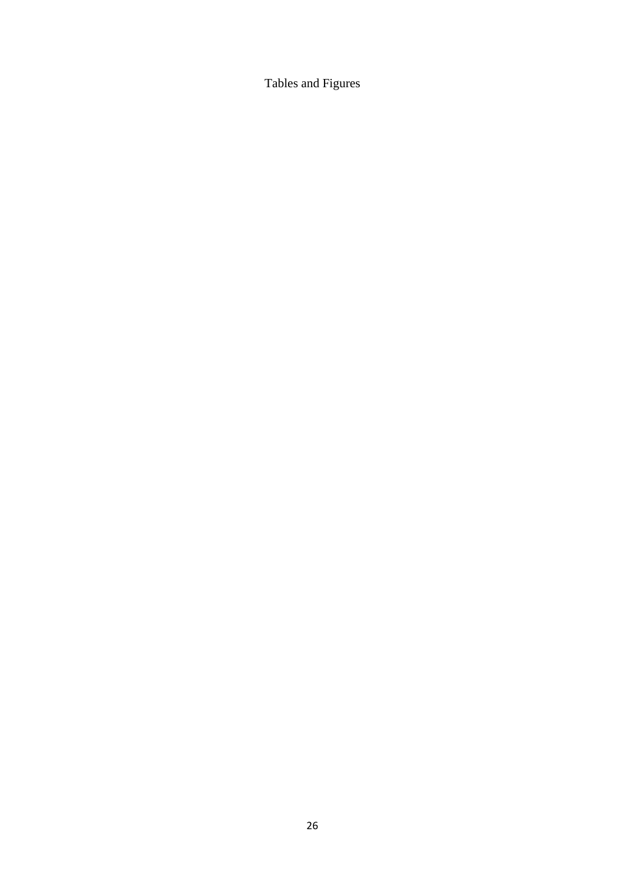Tables and Figures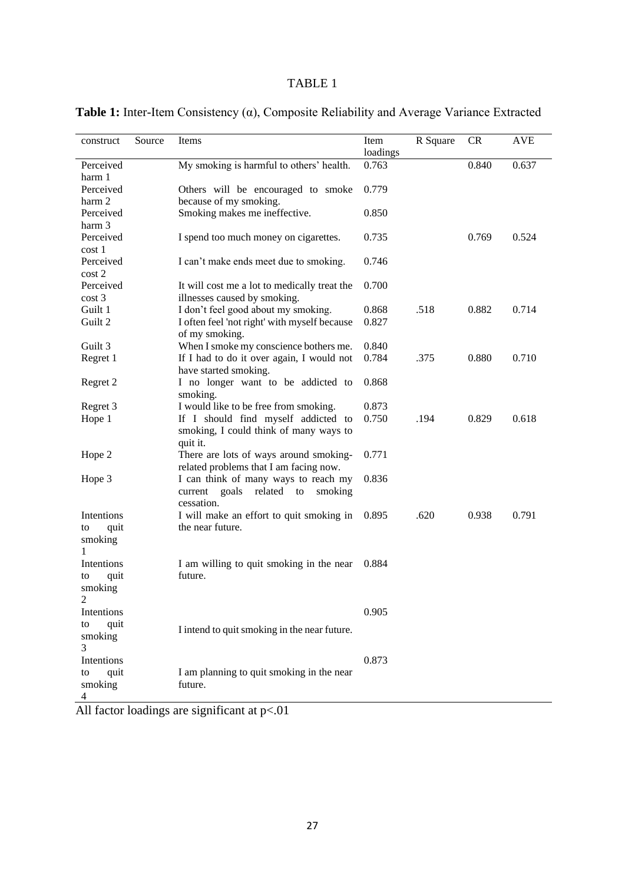|  |  |  |  |  |  |  | Table 1: Inter-Item Consistency $(\alpha)$ , Composite Reliability and Average Variance Extracted |
|--|--|--|--|--|--|--|---------------------------------------------------------------------------------------------------|
|  |  |  |  |  |  |  |                                                                                                   |

| construct                                | Source | Items                                                                                           | Item<br>loadings | R Square | CR    | <b>AVE</b> |
|------------------------------------------|--------|-------------------------------------------------------------------------------------------------|------------------|----------|-------|------------|
| Perceived                                |        | My smoking is harmful to others' health.                                                        | 0.763            |          | 0.840 | 0.637      |
| harm 1<br>Perceived                      |        | Others will be encouraged to smoke                                                              | 0.779            |          |       |            |
| harm 2<br>Perceived                      |        | because of my smoking.<br>Smoking makes me ineffective.                                         | 0.850            |          |       |            |
| harm 3<br>Perceived<br>cost 1            |        | I spend too much money on cigarettes.                                                           | 0.735            |          | 0.769 | 0.524      |
| Perceived<br>$\cos t 2$                  |        | I can't make ends meet due to smoking.                                                          | 0.746            |          |       |            |
| Perceived<br>cost <sub>3</sub>           |        | It will cost me a lot to medically treat the<br>illnesses caused by smoking.                    | 0.700            |          |       |            |
| Guilt 1                                  |        | I don't feel good about my smoking.                                                             | 0.868            | .518     | 0.882 | 0.714      |
| Guilt 2                                  |        | I often feel 'not right' with myself because<br>of my smoking.                                  | 0.827            |          |       |            |
| Guilt 3                                  |        | When I smoke my conscience bothers me.                                                          | 0.840            |          |       |            |
| Regret 1                                 |        | If I had to do it over again, I would not<br>have started smoking.                              | 0.784            | .375     | 0.880 | 0.710      |
| Regret 2                                 |        | I no longer want to be addicted to<br>smoking.                                                  | 0.868            |          |       |            |
| Regret 3                                 |        | I would like to be free from smoking.                                                           | 0.873            |          |       |            |
| Hope 1                                   |        | If I should find myself addicted to<br>smoking, I could think of many ways to<br>quit it.       | 0.750            | .194     | 0.829 | 0.618      |
| Hope 2                                   |        | There are lots of ways around smoking-<br>related problems that I am facing now.                | 0.771            |          |       |            |
| Hope 3                                   |        | I can think of many ways to reach my<br>current<br>goals<br>related to<br>smoking<br>cessation. | 0.836            |          |       |            |
| Intentions<br>quit<br>to<br>smoking<br>1 |        | I will make an effort to quit smoking in<br>the near future.                                    | 0.895            | .620     | 0.938 | 0.791      |
| Intentions<br>quit<br>to<br>smoking      |        | I am willing to quit smoking in the near<br>future.                                             | 0.884            |          |       |            |
| Intentions                               |        |                                                                                                 | 0.905            |          |       |            |
| quit<br>to<br>smoking<br>3               |        | I intend to quit smoking in the near future.                                                    |                  |          |       |            |
| Intentions<br>quit<br>to<br>smoking      |        | I am planning to quit smoking in the near<br>future.                                            | 0.873            |          |       |            |
| 4                                        |        |                                                                                                 |                  |          |       |            |

All factor loadings are significant at  $p<.01$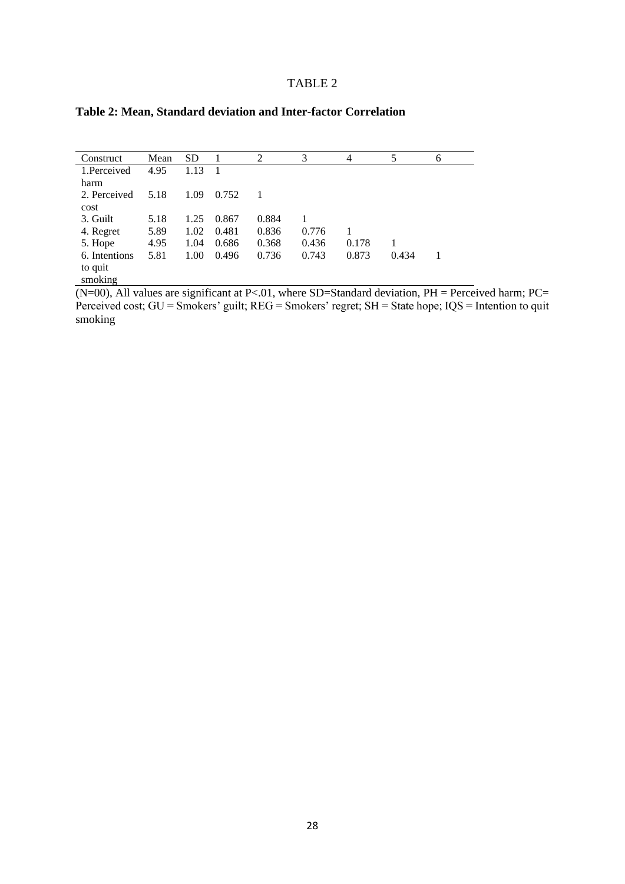| Construct     | Mean | <b>SD</b> |       | 2     | 3     | 4     | 5     | 6 |
|---------------|------|-----------|-------|-------|-------|-------|-------|---|
| 1.Perceived   | 4.95 | 1.13      |       |       |       |       |       |   |
| harm          |      |           |       |       |       |       |       |   |
| 2. Perceived  | 5.18 | 1.09      | 0.752 |       |       |       |       |   |
| cost          |      |           |       |       |       |       |       |   |
| 3. Guilt      | 5.18 | 1.25      | 0.867 | 0.884 |       |       |       |   |
| 4. Regret     | 5.89 | 1.02      | 0.481 | 0.836 | 0.776 |       |       |   |
| 5. Hope       | 4.95 | 1.04      | 0.686 | 0.368 | 0.436 | 0.178 |       |   |
| 6. Intentions | 5.81 | 1.00      | 0.496 | 0.736 | 0.743 | 0.873 | 0.434 |   |
| to quit       |      |           |       |       |       |       |       |   |
| smoking       |      |           |       |       |       |       |       |   |

## **Table 2: Mean, Standard deviation and Inter-factor Correlation**

 $(N=00)$ , All values are significant at P<.01, where SD=Standard deviation, PH = Perceived harm; PC= Perceived cost; GU = Smokers' guilt; REG = Smokers' regret; SH = State hope; IQS = Intention to quit smoking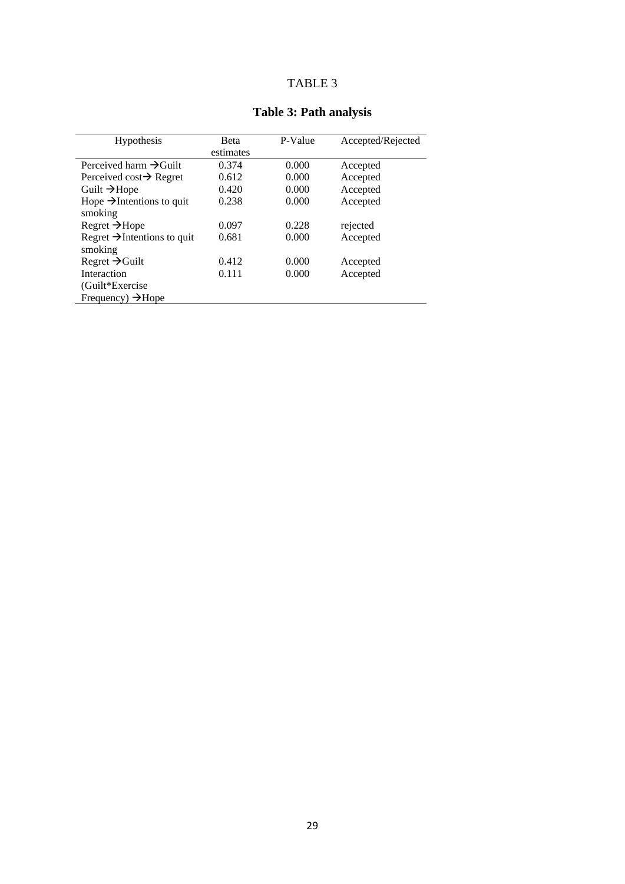| Hypothesis                                         | <b>Beta</b> | P-Value | Accepted/Rejected |
|----------------------------------------------------|-------------|---------|-------------------|
|                                                    | estimates   |         |                   |
| Perceived harm $\rightarrow$ Guilt                 | 0.374       | 0.000   | Accepted          |
| Perceived cost $\rightarrow$ Regret                | 0.612       | 0.000   | Accepted          |
| Guilt $\rightarrow$ Hope                           | 0.420       | 0.000   | Accepted          |
| Hope $\rightarrow$ Intentions to quit<br>smoking   | 0.238       | 0.000   | Accepted          |
| $Regret \rightarrow Hope$                          | 0.097       | 0.228   | rejected          |
| Regret $\rightarrow$ Intentions to quit<br>smoking | 0.681       | 0.000   | Accepted          |
| Regret $\rightarrow$ Guilt                         | 0.412       | 0.000   | Accepted          |
| Interaction                                        | 0.111       | 0.000   | Accepted          |
| (Guilt*Exercise)                                   |             |         |                   |
| Frequency) $\rightarrow$ Hope                      |             |         |                   |

# **Table 3: Path analysis**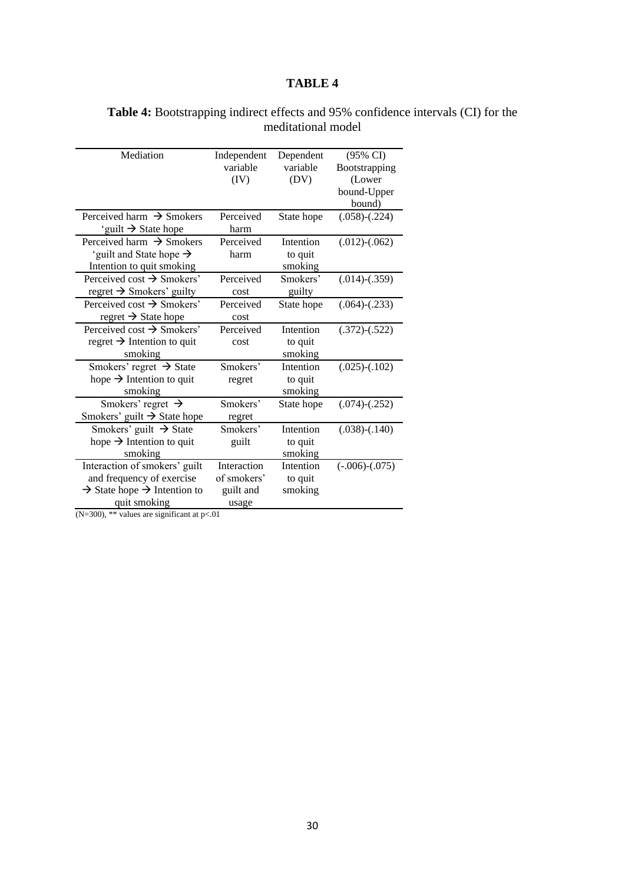### **Table 4:** Bootstrapping indirect effects and 95% confidence intervals (CI) for the meditational model

| Independent<br>variable<br>(IV) | Dependent<br>variable<br>(DV)                                                                                                                | $(95\% \text{ CI})$<br><b>B</b> ootstrapping |
|---------------------------------|----------------------------------------------------------------------------------------------------------------------------------------------|----------------------------------------------|
|                                 |                                                                                                                                              |                                              |
|                                 |                                                                                                                                              |                                              |
|                                 |                                                                                                                                              | (Lower                                       |
|                                 |                                                                                                                                              | bound-Upper                                  |
|                                 |                                                                                                                                              | bound)                                       |
|                                 | State hope                                                                                                                                   | $(.058)$ - $(.224)$                          |
| harm                            |                                                                                                                                              |                                              |
|                                 | Intention                                                                                                                                    | $(.012)$ - $(.062)$                          |
| harm                            | to quit                                                                                                                                      |                                              |
|                                 | smoking                                                                                                                                      |                                              |
|                                 | Smokers'                                                                                                                                     | $(.014)-(.359)$                              |
| cost                            | guilty                                                                                                                                       |                                              |
|                                 | State hope                                                                                                                                   | $(.064)$ - $(.233)$                          |
| cost                            |                                                                                                                                              |                                              |
|                                 | Intention                                                                                                                                    | $(.372)$ - $(.522)$                          |
| cost                            | to quit                                                                                                                                      |                                              |
|                                 | smoking                                                                                                                                      |                                              |
|                                 | Intention                                                                                                                                    | $(.025)-(.102)$                              |
| regret                          | to quit                                                                                                                                      |                                              |
|                                 | smoking                                                                                                                                      |                                              |
|                                 | State hope                                                                                                                                   | $(.074)-(.252)$                              |
| regret                          |                                                                                                                                              |                                              |
|                                 | Intention                                                                                                                                    | $(.038)$ - $(.140)$                          |
| guilt                           | to quit                                                                                                                                      |                                              |
|                                 | smoking                                                                                                                                      |                                              |
|                                 | Intention                                                                                                                                    | $(-.006)-(.075)$                             |
|                                 | to quit                                                                                                                                      |                                              |
|                                 | smoking                                                                                                                                      |                                              |
| usage                           |                                                                                                                                              |                                              |
|                                 | Perceived<br>Perceived<br>Perceived<br>Perceived<br>Perceived<br>Smokers'<br>Smokers'<br>Smokers'<br>Interaction<br>of smokers'<br>guilt and |                                              |

(N=300),  $**$  values are significant at p<.01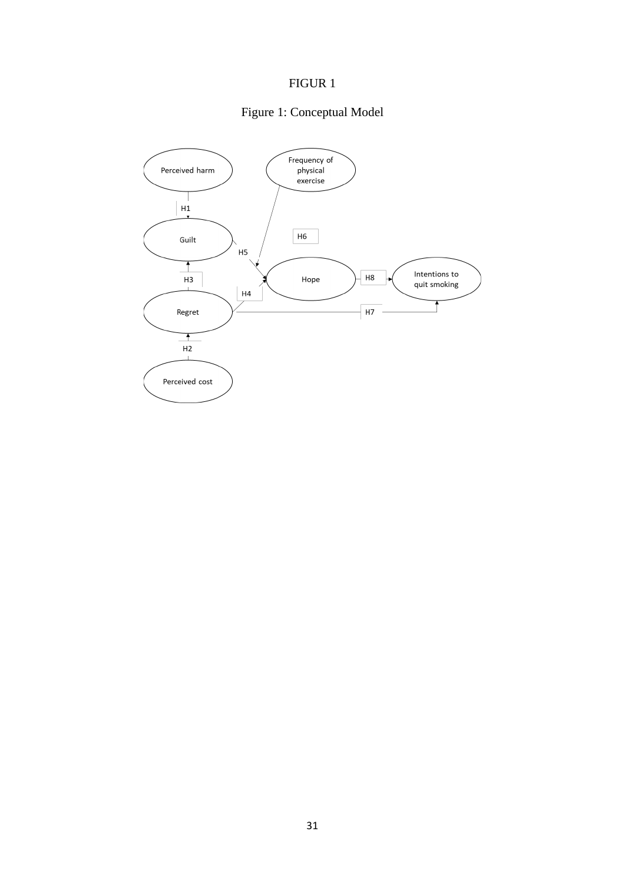# FIGUR 1

# Figure 1: Conceptual Model